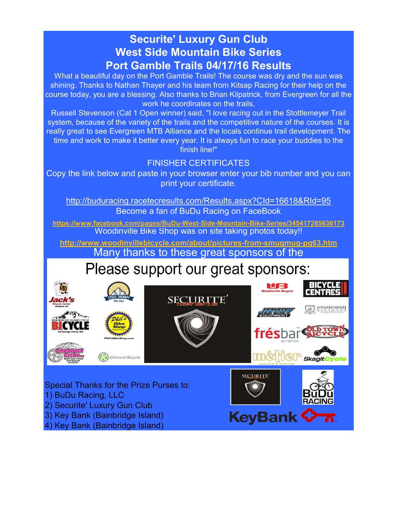# Securite' Luxury Gun Club West Side Mountain Bike Series Port Gamble Trails 04/17/16 Results What a beautiful day on the Port Gamble Trails! The course was dry and the sun was shining. Thanks to Nathan Thayer and his team from Kitsap Racing for their help on the course today, you are a blessing. Also thanks to Brian Kilpatrick, from Evergreen for all the work he coordinates on the trails, Russell Stevenson (Cat 1 Open winner) said, "I love racing out in the Stottlemeyer Trail system, because of the variety of the trails and the competitive nature of the courses. It is really great to see Evergreen MTB Alliance and the locals continue trail development. The time and work to make it better every year. It is always fun to race your buddies to the finish line!"FINISHER CERTIFICATES Copy the link below and paste in your browser enter your bib number and you can print your certificate. http://buduracing.racetecresults.com/Results.aspx?CId=16618&RId=95 Become a fan of BuDu Racing on FaceBook https://www.facebook.com/pages/BuDu-West-Side-Mountain-Bike-Series/345417285636173 Woodinville Bike Shop was on site taking photos today!! http://www.woodinvillebicycle.com/about/pictures-from-smugmug-pg63.htm Many thanks to these great sponsors of the Please support our great sponsors: **SECURITE** frésbar **Métier SkagitC** Kirkland Bicycle

SECURITE'

**KeyBank** 

Special Thanks for the Prize Purses to:

- 1) BuDu Racing, LLC
- 2) Securite' Luxury Gun Club
- 3) Key Bank (Bainbridge Island)
- 4) Key Bank (Bainbridge Island)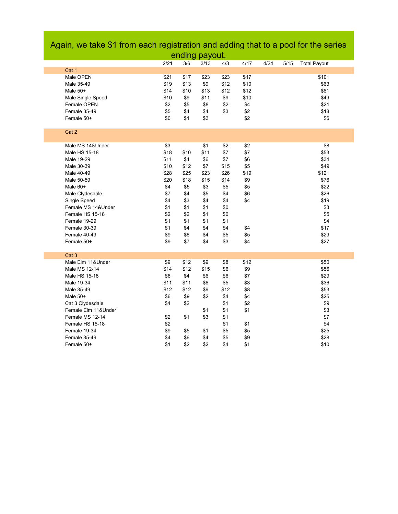|                     |      |      | ending payout. |      |      |      |        |                     |
|---------------------|------|------|----------------|------|------|------|--------|---------------------|
|                     | 2/21 | 3/6  | 3/13           | 4/3  | 4/17 | 4/24 | $5/15$ | <b>Total Payout</b> |
| Cat 1               |      |      |                |      |      |      |        |                     |
| Male OPEN           | \$21 | \$17 | \$23           | \$23 | \$17 |      |        | \$101               |
| Male 35-49          | \$19 | \$13 | \$9            | \$12 | \$10 |      |        | \$63                |
| Male 50+            | \$14 | \$10 | \$13           | \$12 | \$12 |      |        | \$61                |
| Male Single Speed   | \$10 | \$9  | \$11           | \$9  | \$10 |      |        | \$49                |
| Female OPEN         | \$2  | \$5  | \$8            | \$2  | \$4  |      |        | \$21                |
| Female 35-49        | \$5  | \$4  | \$4            | \$3  | \$2  |      |        | \$18                |
| Female 50+          | \$0  | \$1  | \$3            |      | \$2  |      |        | \$6                 |
| Cat 2               |      |      |                |      |      |      |        |                     |
| Male MS 14&Under    | \$3  |      | \$1            | \$2  | \$2  |      |        | \$8                 |
| Male HS 15-18       | \$18 | \$10 | \$11           | \$7  | $$7$ |      |        | \$53                |
| Male 19-29          | \$11 | \$4  | \$6            | \$7  | \$6  |      |        | \$34                |
| Male 30-39          | \$10 | \$12 | \$7            | \$15 | \$5  |      |        | \$49                |
| Male 40-49          | \$28 | \$25 | \$23           | \$26 | \$19 |      |        | \$121               |
| Male 50-59          | \$20 | \$18 | \$15           | \$14 | \$9  |      |        | \$76                |
| Male 60+            | \$4  | \$5  | \$3            | \$5  | \$5  |      |        | \$22                |
| Male Clydesdale     | \$7  | \$4  | \$5            | \$4  | \$6  |      |        | \$26                |
| Single Speed        | \$4  | \$3  | \$4            | \$4  | \$4  |      |        | \$19                |
| Female MS 14&Under  | \$1  | \$1  | \$1            | \$0  |      |      |        | \$3                 |
| Female HS 15-18     | \$2  | \$2  | \$1            | \$0  |      |      |        | \$5                 |
| Female 19-29        | \$1  | \$1  | \$1            | \$1  |      |      |        | \$4                 |
| Female 30-39        | \$1  | \$4  | \$4            | \$4  | \$4  |      |        | \$17                |
| Female 40-49        | \$9  | \$6  | \$4            | \$5  | \$5  |      |        | \$29                |
| Female 50+          | \$9  | \$7  | \$4            | \$3  | \$4  |      |        | \$27                |
| Cat <sub>3</sub>    |      |      |                |      |      |      |        |                     |
| Male Elm 11&Under   | \$9  | \$12 | \$9            | \$8  | \$12 |      |        | \$50                |
| Male MS 12-14       | \$14 | \$12 | \$15           | \$6  | \$9  |      |        | \$56                |
| Male HS 15-18       | \$6  | \$4  | \$6            | \$6  | $$7$ |      |        | \$29                |
| Male 19-34          | \$11 | \$11 | \$6            | \$5  | \$3  |      |        | \$36                |
| Male 35-49          | \$12 | \$12 | \$9            | \$12 | \$8  |      |        | \$53                |
| Male 50+            | \$6  | \$9  | \$2            | \$4  | \$4  |      |        | \$25                |
| Cat 3 Clydesdale    | \$4  | \$2  |                | \$1  | \$2  |      |        | \$9                 |
| Female Elm 11&Under |      |      | \$1            | \$1  | \$1  |      |        | \$3                 |
| Female MS 12-14     | \$2  | \$1  | \$3            | \$1  |      |      |        | \$7                 |
| Female HS 15-18     | \$2  |      |                | \$1  | \$1  |      |        | \$4                 |
| Female 19-34        | \$9  | \$5  | \$1            | \$5  | \$5  |      |        | \$25                |
| Female 35-49        | \$4  | \$6  | \$4            | \$5  | \$9  |      |        | \$28                |
| Female 50+          | \$1  | \$2  | \$2            | \$4  | \$1  |      |        | \$10                |

# Again, we take \$1 from each registration and adding that to a pool for the series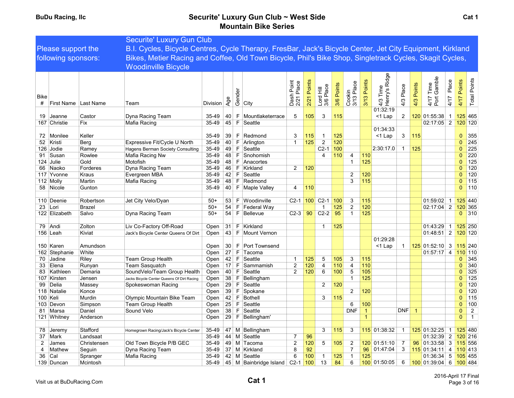|                  | Please support the<br>following sponsors: |                      | <b>Securite' Luxury Gun Club</b><br>B.I. Cycles, Bicycle Centres, Cycle Therapy, FresBar, Jack's Bicycle Center, Jet City Equipment, Kirkland<br>Bikes, Metier Racing and Coffee, Old Town Bicycle, Phil's Bike Shop, Singletrack Cycles, Skagit Cycles,<br><b>Woodinville Bicycle</b> |                |                       |        |                                                 |                          |             |                                             |            |                      |                |                                         |                |                   |                          |                |                                                                    |  |
|------------------|-------------------------------------------|----------------------|----------------------------------------------------------------------------------------------------------------------------------------------------------------------------------------------------------------------------------------------------------------------------------------|----------------|-----------------------|--------|-------------------------------------------------|--------------------------|-------------|---------------------------------------------|------------|----------------------|----------------|-----------------------------------------|----------------|-------------------|--------------------------|----------------|--------------------------------------------------------------------|--|
| <b>Bike</b><br># |                                           | First Name Last Name | Team                                                                                                                                                                                                                                                                                   | Division       | Age                   | Gender | City                                            | Dash Point<br>2/21 Place | 2/21 Points | Lord Hill<br>3/6 Place                      | 3/6 Points | Cookin<br>3/13 Place | 3/13 Points    | 4/3 Time<br>! Henry's Ridge<br>01:32:19 | 4/3 Place      | 4/3 Points        | 4/17 Time<br>Port Gamble | Place<br>4/17  | <b>Total Points</b><br>Points<br>4/17                              |  |
|                  | 19 Jeanne                                 | Castor               | Dyna Racing Team                                                                                                                                                                                                                                                                       | 35-49          | 40                    | E      | Mountlaketerrace                                | 5                        | 105         | 3                                           | 115        |                      |                | $<$ 1 Lap                               | $\overline{2}$ |                   | 120 01:55:38             | $\overline{1}$ | 125 465                                                            |  |
|                  | 167 Christie                              | Fix                  | Mafia Racing                                                                                                                                                                                                                                                                           | 35-49          | 45                    |        | F Seattle                                       |                          |             |                                             |            |                      |                |                                         |                |                   | $02:17:05$ 2 120 120     |                |                                                                    |  |
|                  | 72 Monilee<br>52 Kristi                   | Keller<br>Berg       | Expressive Fit/Cycle U North                                                                                                                                                                                                                                                           | 35-49<br>35-49 | 39 <sup>°</sup><br>40 | F.     | Redmond<br>F Arlington                          | 3<br>$\overline{1}$      | 115<br>125  | $\overline{1}$<br>$\overline{2}$            | 125<br>120 |                      |                | 01:34:33<br>$<$ 1 Lap                   |                | $3\overline{115}$ |                          |                | $\mathbf{0}$<br>355<br>$\Omega$<br>245                             |  |
|                  | 126 Jodie                                 | Ramey                | Hagens Berman Society Consulting                                                                                                                                                                                                                                                       | 35-49          | 49                    | F.     | Seattle                                         |                          |             | $C2-1$                                      | 100        |                      |                | 2:30:17.0                               | $\overline{1}$ | 125               |                          |                | $\Omega$<br>225                                                    |  |
|                  | 91 Susan                                  | Rowlee               | Mafia Racing Nw                                                                                                                                                                                                                                                                        | 35-49          | 48                    | -F     | Snohomish                                       |                          |             | 4                                           | 110        | $\overline{4}$       | 110            |                                         |                |                   |                          |                | $\overline{0}$<br>220                                              |  |
|                  | 124 Julie                                 | Gold                 | Motofish                                                                                                                                                                                                                                                                               | 35-49          | 48                    | F.     | Anacortes                                       |                          |             |                                             |            | $\overline{1}$       | 125            |                                         |                |                   |                          |                | 125<br>$\mathbf{0}$                                                |  |
|                  | 66 Naoko                                  | Forderes             | Dyna Racing Team                                                                                                                                                                                                                                                                       | 35-49          | 46                    | -F     | Kirkland                                        | $\overline{2}$           | 120         |                                             |            |                      |                |                                         |                |                   |                          |                | $\mathbf{0}$<br>120                                                |  |
|                  | 117 Yvonne                                | Kraus                | Evergreen MBA                                                                                                                                                                                                                                                                          | 35-49          | 42                    | F.     | Seattle                                         |                          |             |                                             |            | $\overline{2}$       | 120            |                                         |                |                   |                          |                | 120<br>$\mathbf{0}$                                                |  |
|                  | 112 Molly                                 | Martin               | Mafia Racing                                                                                                                                                                                                                                                                           | 35-49          |                       |        | 48 F Redmond                                    |                          |             |                                             |            | 3                    | 115            |                                         |                |                   |                          |                | 115<br>$\mathbf{0}$                                                |  |
|                  | 58 Nicole                                 | Gunton               |                                                                                                                                                                                                                                                                                        | 35-49          |                       |        | 40 F Maple Valley                               | 4                        | 110         |                                             |            |                      |                |                                         |                |                   |                          |                | $0$ 110                                                            |  |
|                  |                                           |                      |                                                                                                                                                                                                                                                                                        |                |                       |        |                                                 |                          |             |                                             |            |                      |                |                                         |                |                   |                          |                |                                                                    |  |
|                  | 110 Deenie                                | Robertson            | Jet City Velo/Dyan                                                                                                                                                                                                                                                                     | $50+$          |                       |        | 53 F Woodinville                                |                          |             | C <sub>2</sub> -1 100 C <sub>2</sub> -1 100 |            | 3                    | 115            |                                         |                |                   | $01:59:02$ 1             |                | 125 440                                                            |  |
| 23 Lori          |                                           | Brazel               |                                                                                                                                                                                                                                                                                        | $50+$          | 54                    |        | F Federal Way                                   |                          |             | $\mathbf{1}$                                | 125        | $\overline{2}$       | 120            |                                         |                |                   | $02:17:04$ 2             |                | 120 365                                                            |  |
|                  | 122 Elizabeth                             | Salvo                | Dyna Racing Team                                                                                                                                                                                                                                                                       | $50+$          |                       |        | 54 F Bellevue                                   |                          |             | $C2-3$ 90 $C2-2$                            | 95         | $\overline{1}$       | 125            |                                         |                |                   |                          |                | $0$ 310                                                            |  |
|                  | 79 Andi                                   | Zolton               | Liv Co-Factory Off-Road                                                                                                                                                                                                                                                                | Open           |                       |        | 31 F Kirkland                                   |                          |             | $\mathbf{1}$                                | 125        |                      |                |                                         |                |                   | $01:43:29$ 1 125 250     |                |                                                                    |  |
|                  | 156 Leah                                  | Kiviat               | Jack's Bicycle Center Queens Of Dirt                                                                                                                                                                                                                                                   | Open           |                       |        | 43 F Mount Vernon                               |                          |             |                                             |            |                      |                |                                         |                |                   | $01:48:51$ 2 120 120     |                |                                                                    |  |
|                  |                                           |                      |                                                                                                                                                                                                                                                                                        |                |                       |        |                                                 |                          |             |                                             |            |                      |                | 01:29:28                                |                |                   |                          |                |                                                                    |  |
|                  | 150 Karen                                 | Amundson             |                                                                                                                                                                                                                                                                                        | Open           | 30 <sup>2</sup>       |        | F Port Townsend                                 |                          |             |                                             |            |                      |                | $<$ 1 Lap                               | $\overline{1}$ |                   | $125$ 01:52:10 3         |                | $115$ 240                                                          |  |
|                  | 162 Stephanie                             | White                |                                                                                                                                                                                                                                                                                        | Open           | 27                    |        | F Tacoma                                        |                          |             |                                             |            |                      |                |                                         |                |                   | $01:57:17$ 4 110 110     |                |                                                                    |  |
|                  | 70 Jadine                                 | Riley                | Team Group Health                                                                                                                                                                                                                                                                      | Open           | 42                    | F.     | Seattle                                         | $\mathbf{1}$             | 125         | 5                                           | 105        | 3                    | 115            |                                         |                |                   |                          |                | 345<br>$\mathbf{0}$                                                |  |
|                  | 33 Elena                                  | Runyan               | <b>Team Sasquatch</b>                                                                                                                                                                                                                                                                  | Open           | 17                    | -F     | Sammamish                                       | $\overline{2}$           | 120         | $\overline{4}$                              | 110        | $\overline{4}$       | 110            |                                         |                |                   |                          |                | 340<br>$\mathbf{0}$                                                |  |
|                  | 83 Kathleen                               | Demaria              | SoundVelo/Team Group Health                                                                                                                                                                                                                                                            | Open           | 40                    | F.     | Seattle                                         | $\overline{2}$           | 120         | 6                                           | 100        | $\sqrt{5}$           | 105            |                                         |                |                   |                          |                | 325<br>$\Omega$                                                    |  |
|                  | 107 Kirsten                               | Jensen               | Jacks Bicycle Center Queens Of Dirt Racing                                                                                                                                                                                                                                             | Open           | 38 F                  |        | Bellingham                                      |                          |             |                                             |            | $\mathbf{1}$         | 125            |                                         |                |                   |                          |                | 0<br>125                                                           |  |
|                  | 99 Delia                                  | Massey               | Spokeswoman Racing                                                                                                                                                                                                                                                                     | Open           | 29 F                  |        | Seattle                                         |                          |             | $\overline{c}$                              | 120        |                      |                |                                         |                |                   |                          |                | $\Omega$<br>120                                                    |  |
|                  | 118 Natalie                               | Konce                |                                                                                                                                                                                                                                                                                        | Open           | 39 <sup>°</sup>       | -F     | Spokane                                         |                          |             |                                             |            | $\overline{2}$       | 120            |                                         |                |                   |                          |                | 120<br>$\mathbf{0}$                                                |  |
| 100 Keli         |                                           | Murdin               | Olympic Mountain Bike Team                                                                                                                                                                                                                                                             | Open           | $42$ F                |        | <b>Bothell</b>                                  |                          |             | 3                                           | 115        |                      |                |                                         |                |                   |                          |                | $\mathbf{0}$<br>115                                                |  |
|                  | 103 Devon                                 | Simpson              | Team Group Health                                                                                                                                                                                                                                                                      | Open           | 25                    | F.     | Seattle                                         |                          |             |                                             |            | 6                    | 100            |                                         |                |                   |                          |                | 100<br>$\overline{0}$                                              |  |
|                  | 81 Marsa                                  | Daniel               | Sound Velo                                                                                                                                                                                                                                                                             | Open           | 38 F                  |        | Seattle<br>29 F Bellingham'                     |                          |             |                                             |            | <b>DNF</b>           | $\overline{1}$ |                                         | <b>DNF</b>     | $\overline{1}$    |                          |                | $\overline{2}$<br>$\mathbf{0}$<br>$\overline{0}$<br>$\overline{1}$ |  |
|                  | 121 Whitney                               | Anderson             |                                                                                                                                                                                                                                                                                        | Open           |                       |        |                                                 |                          |             |                                             |            |                      | $\overline{1}$ |                                         |                |                   |                          |                |                                                                    |  |
|                  | 78 Jeremy                                 | Stafford             | Homegrown Racing/Jack's Bicycle Center                                                                                                                                                                                                                                                 | 35-49          |                       |        | 47 M Bellingham                                 |                          |             | 3                                           | 115        | 3                    |                | 115 01:38:32                            | -1             |                   | 125 01:32:25             | -1             | 125 480                                                            |  |
|                  | 37 Mark                                   | Landsaat             |                                                                                                                                                                                                                                                                                        | 35-49          | 44 M                  |        | Seattle                                         | $\overline{7}$           | 96          |                                             |            |                      |                |                                         |                |                   | 01:32:39                 | $\overline{2}$ | 120 216                                                            |  |
|                  | 2 James                                   | Christensen          | Old Town Bicycle P/B GEC                                                                                                                                                                                                                                                               | 35-49          |                       |        | 49 M Tacoma                                     | $\overline{2}$           | 120         | 5                                           | 105        | $\overline{2}$       |                | 120 01:51:10                            | 7              |                   | 96 01:33:58              |                | 3 115 556                                                          |  |
|                  | 4 Mathew                                  | Seguin               | Dyna Racing Team                                                                                                                                                                                                                                                                       | 35-49          |                       |        | 37 M Kirkland                                   | 8                        | 92          |                                             |            | $\overline{7}$       |                | 96 01:47:04                             | 3              |                   | $115$ 01:34:11 4 110 413 |                |                                                                    |  |
| 36 Cal           |                                           | Spranger             | Mafia Racing                                                                                                                                                                                                                                                                           | 35-49          |                       |        | 42 M Seattle                                    | 6                        | 100         | $\overline{1}$                              | 125        | $\mathbf{1}$         | 125            |                                         |                |                   | $01:36:34$ 5 105 455     |                |                                                                    |  |
|                  | 139 Duncan                                | Mcintosh             |                                                                                                                                                                                                                                                                                        |                |                       |        | 35-49   45   M   Bainbridge Island   C2-1   100 |                          |             | 13                                          | 84         | 6                    |                | $100$ 01:50:05                          | 6              |                   | 100 01:39:04 6 100 484   |                |                                                                    |  |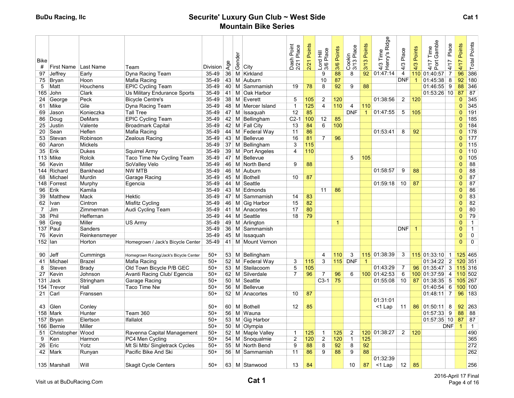| Bike                |                             |                                        |          | Age | Gender |                               | Point<br>Dash Point<br>2/21 Place | 2/21 Points | Place<br>Lord Hill<br>3/6 Place | 3/6 Points | Place<br>Cookin<br>3/13 Pla | 3/13 Points    | ; Time<br>⊸'s Ridge∣<br>4/3 Time<br>Henry's I | Place           | Points         | Time<br>Gamble<br>4/17<br>Port | Place<br>4/17  | Points<br>Points<br>Total<br>4/17 |  |
|---------------------|-----------------------------|----------------------------------------|----------|-----|--------|-------------------------------|-----------------------------------|-------------|---------------------------------|------------|-----------------------------|----------------|-----------------------------------------------|-----------------|----------------|--------------------------------|----------------|-----------------------------------|--|
| #                   | <b>First Name Last Name</b> | Team                                   | Division |     |        | City                          |                                   |             |                                 |            |                             |                |                                               | 4/3             | 4/3            |                                |                |                                   |  |
| 97<br>Jeffrey       | Early                       | Dyna Racing Team                       | 35-49    | 36  |        | M Kirkland                    |                                   |             | 9                               | 88         | 8                           | 92             | 01:47:14                                      | 4               |                | 110 01:40:57                   | $\overline{7}$ | 386<br>96                         |  |
| 75 Bryan            | Hoon                        | Mafia Racing                           | 35-49    |     |        | 43 M Auburn                   |                                   |             | 10                              | 87         |                             |                |                                               | <b>DNF</b>      | $\overline{1}$ | 01:45:38                       | 8              | 92<br>180                         |  |
| 5 Matt              | Houchens                    | <b>EPIC Cycling Team</b>               | 35-49    |     |        | 40 M Sammamish                | 19                                | 78          | 8                               | 92         | 9                           | 88             |                                               |                 |                | 01:46:55                       | 9              | 88<br>346                         |  |
| 165 John            | Clark                       | Us Military Endurance Sports           | 35-49    |     |        | │41│M│Oak Harbor              |                                   |             |                                 |            |                             |                |                                               |                 |                | 01:53:26 10                    |                | 87<br>87                          |  |
| 24 George           | Peck                        | <b>Bicycle Centre's</b>                | 35-49    |     |        | 38 M Everett                  | 5                                 | 105         | $\overline{2}$                  | 120        |                             |                | 01:38:56                                      | $2^{\circ}$     | 120            |                                |                | $\overline{0}$<br>345             |  |
| 61 Mike             | Gile                        | Dyna Racing Team                       | 35-49    |     |        | 48 M Mercer Island            | $\mathbf{1}$                      | 125         | $\overline{4}$                  | 110        | $\overline{4}$              | 110            |                                               |                 |                |                                |                | $\overline{0}$<br>345             |  |
| 69 Jason            | Konieczka                   | <b>Tall Tree</b>                       |          |     |        | $35-49$   47   M   Issaguah   | 12                                | 85          |                                 |            | <b>DNF</b>                  | -1             | 01:47:55                                      | 5               | 105            |                                |                | $\overline{0}$<br>191             |  |
| 86 Doug             | DeMars                      | <b>EPIC Cycling Team</b>               |          |     |        | $35-49$   42   M   Bellingham | $C2-1$                            | 100         | 12                              | 85         |                             |                |                                               |                 |                |                                |                | 185<br>0                          |  |
| 25<br>Justin        | Valente                     | <b>Broadmark Capital</b>               |          |     |        | 35-49   42   M   Fall City    | 13                                | 84          | 6                               | 100        |                             |                |                                               |                 |                |                                |                | $\overline{0}$<br>184             |  |
| 20 Sean             | Heflen                      | Mafia Racing                           | 35-49    |     |        | 44   M   Federal Way          | 11                                | 86          |                                 |            |                             |                | 01:53:41                                      | 8               | 92             |                                |                | $\overline{0}$<br>178             |  |
| 53 Stevan           | Robinson                    | Zealous Racing                         | 35-49    |     |        | 43 M Bellevue                 | 16                                | 81          | $\overline{7}$                  | 96         |                             |                |                                               |                 |                |                                |                | $\overline{0}$<br>177             |  |
| 60 Aaron            | Mickels                     |                                        | 35-49    |     |        | 37 M Bellingham               | 3                                 | 115         |                                 |            |                             |                |                                               |                 |                |                                |                | $\overline{0}$<br>115             |  |
| 35 Erik             | Dukes                       | Squirrel Army                          | 35-49    |     |        | 39 M Port Angeles             | $\overline{4}$                    | 110         |                                 |            |                             |                |                                               |                 |                |                                |                | $\overline{0}$<br>110             |  |
| 113 Mike            | Rolcik                      | Taco Time Nw Cycling Team              |          |     |        | 35-49   47   M   Bellevue     |                                   |             |                                 |            | 5                           | 105            |                                               |                 |                |                                |                | $\overline{0}$<br>105             |  |
| 56 Kevin            | Miller                      | SoValley Velo                          | 35-49    |     |        | 46 M North Bend               | 9                                 | 88          |                                 |            |                             |                |                                               |                 |                |                                |                | $\overline{0}$<br>88              |  |
| 144 Richard         | <b>Bankhead</b>             | <b>NW MTB</b>                          | 35-49    |     |        | 46 M Auburn                   |                                   |             |                                 |            |                             |                | 01:58:57                                      | 9               | 88             |                                |                | $\overline{0}$<br>88              |  |
| 68 Michael          | Murdin                      | Garage Racing                          | 35-49    |     | 45 M   | Bothell                       | 10                                | 87          |                                 |            |                             |                |                                               |                 |                |                                |                | 87<br>$\mathbf{0}$                |  |
| 148 Forrest         | Murphy                      | Egencia                                |          |     |        | $35-49$   44   M Seattle      |                                   |             |                                 |            |                             |                | 01:59:18                                      | 10 <sup>1</sup> | -87            |                                |                | 87<br>$\overline{0}$              |  |
| 96 Erik             | Kamila                      |                                        | 35-49    |     |        | 43 M Edmonds                  |                                   |             | 11                              | 86         |                             |                |                                               |                 |                |                                |                | 86<br>$\mathbf{0}$                |  |
| 39 Matthew          | Mack                        | <b>Hektic</b>                          |          |     |        | $35-49$   47   M Sammamish    | 14                                | 83          |                                 |            |                             |                |                                               |                 |                |                                |                | 83<br>0                           |  |
| 62 Ivan             | Cintron                     | Misfitz Cycling                        | 35-49    |     |        | 46   M   Gig Harbor           | 15                                | 82          |                                 |            |                             |                |                                               |                 |                |                                |                | 82<br>$\mathbf{0}$                |  |
| 7 Jim               | Zimmerman                   | Audi Cycling Team                      |          |     |        | 35-49 41 M Anacortes          | 17                                | 80          |                                 |            |                             |                |                                               |                 |                |                                |                | 80<br>$\mathbf{0}$                |  |
| 38 Phil             | Heffernan                   |                                        |          |     |        | 35-49   44   M Seattle        | 18                                | 79          |                                 |            |                             |                |                                               |                 |                |                                |                | 79<br>$\overline{0}$              |  |
|                     | Miller                      | US Army                                |          |     |        | $35-49$ 49 M Arlington        |                                   |             |                                 | -1         |                             |                |                                               |                 |                |                                |                | $\overline{0}$<br>$\mathbf{1}$    |  |
| 98 Greg             |                             |                                        |          |     |        |                               |                                   |             |                                 |            |                             |                |                                               | <b>DNF</b>      | -1             |                                |                | $\mathbf{1}$                      |  |
| 137 Paul            | Sanders                     |                                        | 35-49    |     |        | 36 M Sammamish                |                                   |             |                                 |            |                             |                |                                               |                 |                |                                |                | 0                                 |  |
| 76 Kevin            | Reinkensmeyer               |                                        | 35-49    |     |        | 45 M Issaquah                 |                                   |             |                                 |            |                             |                |                                               |                 |                |                                |                | $\mathsf 0$<br>$\overline{0}$     |  |
| $152$ lan           | Horton                      | Homegrown / Jack's Bicycle Center      | 35-49    |     |        | 41 M Mount Vernon             |                                   |             |                                 |            |                             |                |                                               |                 |                |                                |                | 0<br>$\mathbf 0$                  |  |
|                     |                             |                                        |          |     |        |                               |                                   |             |                                 |            |                             |                |                                               |                 |                |                                |                |                                   |  |
| 90 Jeff             | Cummings                    | Homegrown Racing/Jack's Bicycle Center | $50+$    |     |        | 53 M Bellingham               |                                   |             | 4                               | 110        | 3                           |                | 115 01:38:39                                  | 3               |                | 115 01:33:10                   | $\overline{1}$ | $125$ 465                         |  |
| 41 Michael          | <b>Brazel</b>               | Mafia Racing                           | $50+$    |     |        | 52 M Federal Way              | 3                                 | 115         | 3                               |            | <b>115 DNF</b>              | $\overline{1}$ |                                               |                 |                | 01:34:22 2 120 351             |                |                                   |  |
| 8<br>Steven         | <b>Brady</b>                | Old Town Bicycle P/B GEC               | $50+$    |     | 53   M | Steilacoom                    | 5                                 | 105         |                                 |            |                             |                | 01:43:29                                      | 7               |                | 96 01:35:47                    | 3              | 115 316                           |  |
| 27 Kevin            | Johnson                     | Avanti Racing Club/ Egencia            | $50+$    |     | 62   M | Silverdale                    | $\overline{7}$                    | 96          | 7                               | 96         | 6                           |                | 100 01:42:53                                  | 6               |                | 100 01:37:59                   |                | 4 110 502                         |  |
| 131 Jack            | Stringham                   | Garage Racing                          | $50+$    |     | 50 M   | Seattle                       |                                   |             | $C3-1$                          | 75         |                             |                | 01:55:08                                      | 10              |                | 87 01:38:35 5 105 267          |                |                                   |  |
| 154 Trevor          | Hall                        | Taco Time Nw                           | $50+$    |     | 56   M | Bellevue                      |                                   |             |                                 |            |                             |                |                                               |                 |                | $01:40:54$ 6 100 100           |                |                                   |  |
| 21 Carl             | Franssen                    |                                        | $50+$    |     |        | 52 M Anacortes                | 10                                | 87          |                                 |            |                             |                |                                               |                 |                | $01:48:11$ 7                   |                | 96 183                            |  |
|                     |                             |                                        |          |     |        |                               |                                   |             |                                 |            |                             |                | 01:31:01                                      |                 |                |                                |                |                                   |  |
| 43 Glen             | Conley                      |                                        | $50+$    |     | 60   M | Bothell                       | $12 \overline{ }$                 | 85          |                                 |            |                             |                | $<$ 1 Lap                                     | 11              |                | 86 01:50:11                    | 8              | 92<br>263                         |  |
| 158 Mark            | Hunter                      | Team 360                               | $50+$    |     |        | 56 M Wauna                    |                                   |             |                                 |            |                             |                |                                               |                 |                | 01:57:33                       | 9              | 88<br>88                          |  |
| 157 Bryan           | Elertson                    | Ifallalot                              | $50+$    |     |        | 53 M Gig Harbor               |                                   |             |                                 |            |                             |                |                                               |                 |                | $01:57:35$ 10                  |                | 87<br>87                          |  |
| 166 Bernie          | Miller                      |                                        | $50+$    |     |        | 50 M Olympia                  |                                   |             |                                 |            |                             |                |                                               |                 |                |                                | <b>DNF</b>     | $\mathbf{1}$<br>$\blacksquare$ 1  |  |
| 51 Christopher Wood |                             | Ravenna Capital Management             | $50+$    |     |        | 52 M Maple Valley             | $\mathbf{1}$                      | 125         | $\mathbf 1$                     | 125        | $\overline{2}$              |                | 120 01:38:27                                  | 2 120           |                |                                |                | 490                               |  |
| 9 Ken               | Harmon                      | PC4 Men Cycling                        | $50+$    |     |        | 54   M   Snoqualmie           | $\overline{2}$                    | 120         | $\overline{2}$                  | 120        | $\overline{1}$              | 125            |                                               |                 |                |                                |                | 365                               |  |
| 26 Eric             | Yotz                        | Mt Si Mtb/ Singletrack Cycles          | $50+$    |     |        | 55   M   North Bend           | 9                                 | 88          | 8                               | 92         | 8                           | 92             |                                               |                 |                |                                |                | 272                               |  |
| 42 Mark             | Runyan                      | Pacific Bike And Ski                   | $50+$    |     |        | 56   M   Sammamish            | 11                                | 86          | 9                               | 88         | 9                           | 88             |                                               |                 |                |                                |                | 262                               |  |
|                     |                             |                                        |          |     |        |                               |                                   |             |                                 |            |                             |                | 01:32:39                                      |                 |                |                                |                |                                   |  |
| 135 Marshall        | Will                        | <b>Skagit Cycle Centers</b>            | $50+$    |     |        | 63 M Stanwood                 | 13                                | 84          |                                 |            | 10                          | 87             | <1 Lap                                        | 12              | 85             |                                |                | 256                               |  |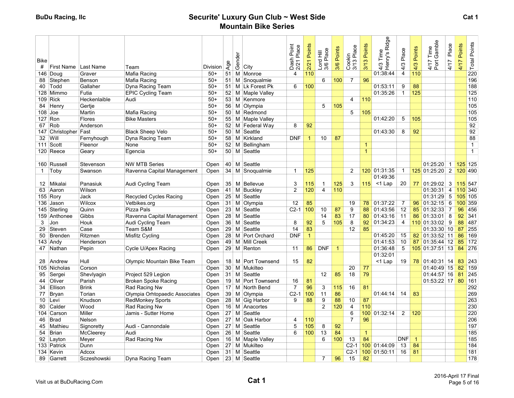| <b>Bike</b> |                             |              |                                |          | Gender<br>Age |                         | Point<br>Dash Point<br>2/21 Place | 2/21 Points    | 3/6 Place<br>Lord Hill | 3/6 Points     | Cookin<br>3/13 Place | 3/13 Points    | 4/3 Time<br>Henry's Ridge | 4/3 Place      | Points         | Time<br>Gamble<br>$4/17$<br>Port                                                               | Place<br>4/17 | <b>Total Points</b><br>Points<br>4/17 |  |
|-------------|-----------------------------|--------------|--------------------------------|----------|---------------|-------------------------|-----------------------------------|----------------|------------------------|----------------|----------------------|----------------|---------------------------|----------------|----------------|------------------------------------------------------------------------------------------------|---------------|---------------------------------------|--|
| #           | <b>First Name Last Name</b> |              | Team                           | Division |               | City                    |                                   |                |                        |                |                      |                |                           |                | 4/3            |                                                                                                |               |                                       |  |
|             | 146 Doug                    | Graver       | Mafia Racing                   | $50+$    |               | 51 M Monroe             | $\overline{4}$                    | 110            |                        |                |                      |                | 01:38:44                  | 4              | 110            |                                                                                                |               | 220                                   |  |
|             | 88 Stephen                  | Benson       | Mafia Racing                   | $50+$    | 51   M        | Snoqualmie              |                                   |                | 6                      | 100            | $\overline{7}$       | 96             |                           |                |                |                                                                                                |               | 196                                   |  |
|             | 40 Todd                     | Gallaher     | Dyna Racing Team               | $50+$    |               | 51   M   Lk Forest Pk   | 6                                 | 100            |                        |                |                      |                | 01:53:11                  | 9              | 88             |                                                                                                |               | 188                                   |  |
|             | 128 Mimmo                   | Futia        | <b>EPIC Cycling Team</b>       | $50+$    |               | 52 M Maple Valley       |                                   |                |                        |                |                      |                | 01:35:26                  | $\mathbf{1}$   | 125            |                                                                                                |               | 125                                   |  |
|             | $109$ Rick                  | Heckenlaible | Audi                           | $50+$    | 53 M          | Kenmore                 |                                   |                |                        |                | 4                    | 110            |                           |                |                |                                                                                                |               | 110                                   |  |
|             | 84 Henry                    | Gertje       |                                | $50+$    |               | 56 M Olympia            |                                   |                | 5                      | 105            |                      |                |                           |                |                |                                                                                                |               | 105                                   |  |
|             | $108$ Joe                   | Martin       | Mafia Racing                   | $50+$    |               | 50 M Redmond            |                                   |                |                        |                | 5                    | 105            |                           |                |                |                                                                                                |               | 105                                   |  |
|             | $127$ Ron                   | Flores       | <b>Bike Masters</b>            | $50+$    |               | 55 M Maple Valley       |                                   |                |                        |                |                      |                | 01:42:20                  | 5              | 105            |                                                                                                |               | 105                                   |  |
|             | 67 Rob                      | Anderson     |                                | $50+$    |               | 52 M Federal Way        | 8                                 | 92             |                        |                |                      |                |                           |                |                |                                                                                                |               | 92                                    |  |
|             | 147 Christopher Fast        |              | <b>Black Sheep Velo</b>        | $50+$    | 50 M          | Seattle                 |                                   |                |                        |                |                      |                | 01:43:30                  | 8              | 92             |                                                                                                |               | 92                                    |  |
|             | 32 Will                     | Fernyhough   | Dyna Racing Team               | $50+$    |               | 58 M Kirkland           | <b>DNF</b>                        | -1             | 10                     | 87             |                      |                |                           |                |                |                                                                                                |               | 88                                    |  |
|             | 111 Scott                   | Fleenor      | None                           | $50+$    | $52 \mid M$   | Bellingham              |                                   |                |                        |                |                      | -1             |                           |                |                |                                                                                                |               | $\mathbf{1}$                          |  |
|             | 120 Reece                   | Geary        | Egencia                        | $50+$    |               | 50 M Seattle            |                                   |                |                        |                |                      | $\overline{1}$ |                           |                |                |                                                                                                |               | $\mathbf{1}$                          |  |
|             |                             |              |                                |          |               |                         |                                   |                |                        |                |                      |                |                           |                |                |                                                                                                |               |                                       |  |
|             | 160 Russell                 | Stevenson    | <b>NW MTB Series</b>           | Open     |               | 40 M Seattle            |                                   |                |                        |                |                      |                |                           |                |                | 01:25:20 1 125 125                                                                             |               |                                       |  |
|             | 1 Toby                      | Swanson      | Ravenna Capital Management     | Open     |               | 34 M Snoqualmie         | $\mathbf{1}$                      | 125            |                        |                | $\overline{2}$       |                | 120 01:31:35              | $\overline{1}$ |                | 125 01:25:20 2 120 490                                                                         |               |                                       |  |
|             |                             |              |                                |          |               |                         |                                   |                |                        |                |                      |                | 01:49:36                  |                |                |                                                                                                |               |                                       |  |
|             | 12 Mikalai                  | Panasiuk     | Audi Cycling Team              | Open     | 35 M          | Bellevue                | 3                                 | 115            | -1                     | 125            | 3                    |                | $115$ <1 Lap              | 20             |                | 77 01:29:02 3 115 547                                                                          |               |                                       |  |
|             | 63 Aaron                    | Wilson       |                                | Open     |               | 41 M Buckley            | 2                                 | 120            | $\overline{4}$         | 110            |                      |                |                           |                |                | 01:30:31 4 110 340                                                                             |               |                                       |  |
|             | $155$ Rory                  | Jack         | Recycled Cycles Racing         |          |               | Open   25   M Seattle   |                                   |                |                        |                |                      |                |                           |                |                | $01:31:29$ 5                                                                                   |               | 105 105                               |  |
|             | 136 Jason                   | Wilcox       | Vetbikes.org                   |          |               | Open 31 M Olympia       | 12                                | 85             |                        |                | 19                   | 78             | 01:37:22                  | $\overline{7}$ |                | $\begin{array}{ c c c c c c c c c } \hline 96 & 01:32:15 & 6 & 100 & 359 \ \hline \end{array}$ |               |                                       |  |
|             | 145 Sterling                | Quinn        | Pizza Pals                     | Open     |               | 23 M Seattle            | $C2-1$                            | 100            | 10                     | 87             | 9                    | 88             | 01:43:56                  | 12             |                | 85 01:32:33                                                                                    | 7             | 96<br>456                             |  |
|             | 159 Anthonee                | Gibbs        | Ravenna Capital Management     |          |               | Open   28   M Seattle   |                                   |                | 14                     | 83             | 17                   | 80             | 01:43:16                  | 11             |                | 86 01:33:01                                                                                    | 8             | 92<br>341                             |  |
| 3           | Jon                         | Houk         | Audi Cycling Team              | Open     | 36 M          | Seattle                 | 8                                 | 92             | $\overline{5}$         | 105            | 8                    | 92             | 01:34:23                  | $\overline{4}$ |                | $110$ 01:33:02                                                                                 | 9             | 88<br>487                             |  |
| 29          | Steven                      | Case         | Team S&M                       |          |               | Open   29   M   Seattle | 14                                | 83             |                        |                | 12                   | 85             |                           |                |                | $01:33:30$ 10 87                                                                               |               | 255                                   |  |
| 50          | Brenden                     | Ritzmen      | Misfitz Cycling                | Open     |               | 28 M Port Orchard       | <b>DNF</b>                        | $\overline{1}$ |                        |                |                      |                | 01:45:20                  | 15             |                | $82$ 01:33:52 11                                                                               |               | -86<br><b>169</b>                     |  |
|             | 143 Andy                    | Henderson    |                                | Open     |               | 49   M   Mill Creek     |                                   |                |                        |                |                      |                | 01:41:53                  | 10             |                | 87 01:35:44 12 85 172                                                                          |               |                                       |  |
|             | 47 Nathan                   | Pepin        | Cycle U/Apex Racing            | Open     |               | 29 M Renton             | 11                                |                | <b>86 DNF</b>          | $\overline{1}$ |                      |                | 01:36:48                  | 5              |                | 105 01:37:51 13 84 276                                                                         |               |                                       |  |
|             |                             |              |                                |          |               |                         |                                   |                |                        |                |                      |                | 01:32:01                  |                |                |                                                                                                |               |                                       |  |
|             | 28 Andrew                   | Hull         | Olympic Mountain Bike Team     | Open     | 18 M          | Port Townsend           | 15                                | 82             |                        |                |                      |                | $<$ 1 Lap                 | 19             |                | 78 01:40:31 14                                                                                 |               | 83<br>243                             |  |
|             | 105 Nicholas                | Corson       |                                | Open     |               | 30 M Mukilteo           |                                   |                |                        |                | 20                   | 77             |                           |                |                | $01:40:49$ 15                                                                                  |               | 82 159                                |  |
| 95          | Sergei                      | Shevlyagin   | Project 529 Legion             | Open     | $31 \mid M$   | Seattle                 |                                   |                | $12 \,$                | 85             | 18                   | 79             |                           |                |                | $01:44:57$ 16 81                                                                               |               | 245                                   |  |
|             | 44 Oliver                   | Parish       | <b>Broken Spoke Racing</b>     | Open     |               | 19 M Port Townsend      | 16                                | 81             |                        |                |                      |                |                           |                |                | $01:53:22$ 17 80 161                                                                           |               |                                       |  |
|             | 34 Ellison                  | <b>Brink</b> | Rad Racing Nw                  | Open     |               | 17 M North Bend         | $\overline{7}$                    | 96             | 3                      | 115            | 16                   | 81             |                           |                |                |                                                                                                |               | 292                                   |  |
|             | 77 Bryan                    | Torian       | Olympia Orhtopaedic Associates | Open     |               | 39 M Olympia            | $C2-1$                            | 100            | 11                     | 86             |                      |                | $01:44:14$ 14             |                | 83             |                                                                                                |               | 269                                   |  |
|             | 10 Levi                     | Knudson      | <b>RedMonkey Sports</b>        | Open     |               | 28 M Gig Harbor         | 9                                 | 88             | 9                      | 88             | 10                   | 87             |                           |                |                |                                                                                                |               | 263                                   |  |
|             | 80 Calder                   | Wood         | Rad Racing Nw                  | Open     |               | 16 M Anacortes          |                                   |                | 2                      | 120            | $\overline{4}$       | 110            |                           |                |                |                                                                                                |               | 230                                   |  |
|             | 104 Carson                  | Miller       | Jamis - Sutter Home            | Open     |               | 27 M Seattle            |                                   |                |                        |                | 6                    |                | $100$ 01:32:14            | $2 \mid 120$   |                |                                                                                                |               | 220                                   |  |
|             | 46 Brad                     | Nelson       |                                | Open     |               | 27   M   Oak Harbor     | $\overline{4}$                    | 110            |                        |                | $\overline{7}$       | 96             |                           |                |                |                                                                                                |               | 206                                   |  |
|             | 45 Mathieu                  | Signoretty   | Audi - Cannondale              |          |               | Open   27   M   Seattle | 5                                 | 105            | 8                      | 92             |                      |                |                           |                |                |                                                                                                |               | 197                                   |  |
|             | 54 Brian                    | McCleerey    | Audi                           | Open     |               | 26 M Seattle            | 6                                 | 100            | 13                     | 84             |                      | $\overline{1}$ |                           |                |                |                                                                                                |               | 185                                   |  |
|             | 92 Layton                   | Meyer        | Rad Racing Nw                  | Open     |               | 16   M   Maple Valley   |                                   |                | 6                      | 100            | 13                   | 84             |                           | <b>DNF</b>     | $\overline{1}$ |                                                                                                |               | 185                                   |  |
|             | 133 Patrick                 | Dunn         |                                | Open     |               | 27   M   Mukilteo       |                                   |                |                        |                | $C2-1$               |                | 100 01:44:09              | 13             | 84             |                                                                                                |               | 184                                   |  |
|             | 134 Kevin                   | Adcox        |                                |          |               | Open 31 M Seattle       |                                   |                |                        |                | $C2-1$               |                | $100$ 01:50:11            | 16             | 81             |                                                                                                |               | 181                                   |  |
|             | 89 Garrett                  | Sczeshowski  | Dyna Racing Team               |          |               | Open   23   M   Seattle |                                   |                | $\overline{7}$         | 96             | 15                   | 82             |                           |                |                |                                                                                                |               | 178                                   |  |
|             |                             |              |                                |          |               |                         |                                   |                |                        |                |                      |                |                           |                |                |                                                                                                |               |                                       |  |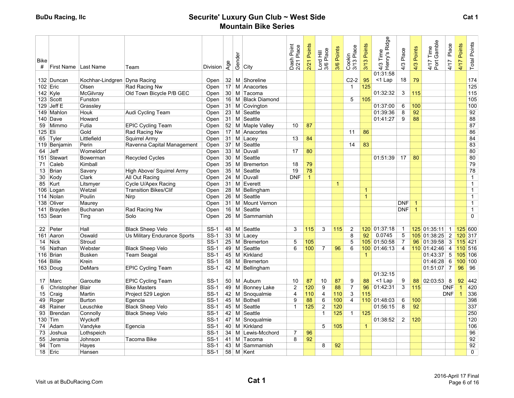| <b>Bike</b>               |                    |                              |             | Age |             | and<br>George          | Point<br>Dash Point<br>2/21 Place | 2/21 Points    | 3/6 Place<br>Lord Hill | 3/6 Points | Cookin<br>3/13 Place | 3/13 Points    | 4/3 Time<br>Henry's Ridge | 4/3 Place      | 4/3 Points     | Time<br>Gamble<br>4/17<br>Port ( | Place<br>4/17  | <b>Total Points</b><br>Points<br>4/17 |  |
|---------------------------|--------------------|------------------------------|-------------|-----|-------------|------------------------|-----------------------------------|----------------|------------------------|------------|----------------------|----------------|---------------------------|----------------|----------------|----------------------------------|----------------|---------------------------------------|--|
| #<br>First Name Last Name |                    | Team                         | Division    |     |             |                        |                                   |                |                        |            |                      |                | 01:31:58                  |                |                |                                  |                |                                       |  |
| 132 Duncan                | Kochhar-Lindgren   | Dyna Racing                  | Open        |     | $32 \mid M$ | Shoreline              |                                   |                |                        |            | $C2-2$               | 95             | $<$ 1 Lap                 | 18             | 79             |                                  |                | 174                                   |  |
| 102 Eric                  | Olsen              | Rad Racing Nw                | Open        |     |             | 17 M Anacortes         |                                   |                |                        |            | $\overline{1}$       | 125            |                           |                |                |                                  |                | 125                                   |  |
| 142 Kyle                  | McGilvray          | Old Town Bicycle P/B GEC     | Open        |     |             | 30 M Tacoma            |                                   |                |                        |            |                      |                | 01:32:32                  | 3              | 115            |                                  |                | 115                                   |  |
| 123 Scott                 | Funston            |                              | Open        |     |             | 16   M   Black Diamond |                                   |                |                        |            | 5                    | 105            |                           |                |                |                                  |                | 105                                   |  |
| 129 Jeff $E$              | Grassley           |                              | Open        |     |             | 31 M Covington         |                                   |                |                        |            |                      |                | 01:37:00                  | 6              | 100            |                                  |                | 100                                   |  |
| 149 Mahlon                | Houk               | Audi Cycling Team            | Open        |     | $23 \, M$   | Seattle                |                                   |                |                        |            |                      |                | 01:39:36                  | 8              | 92             |                                  |                | 92                                    |  |
| 140 Dave                  | Howard             |                              | Open        |     |             | 31 M Seattle           |                                   |                |                        |            |                      |                | 01:41:27                  | 9              | 88             |                                  |                | 88                                    |  |
| 59 Mimmo                  | Futia              | <b>EPIC Cycling Team</b>     | Open        |     |             | 52 M Maple Valley      | 10                                | 87             |                        |            |                      |                |                           |                |                |                                  |                | 87                                    |  |
| 125 Eli                   | Gold               | Rad Racing Nw                | Open        |     |             | 17 M Anacortes         |                                   |                |                        |            | 11                   | 86             |                           |                |                |                                  |                | 86                                    |  |
| 65 Tyler                  | Littlefield        | Squirrel Army                | Open        |     |             | 31 M Lacey             | 13                                | 84             |                        |            |                      |                |                           |                |                |                                  |                | 84                                    |  |
| 119 Benjamin              | Perin              | Ravenna Capital Management   | Open        |     |             | 37 M Seattle           |                                   |                |                        |            | 14                   | 83             |                           |                |                |                                  |                | 83                                    |  |
| 64 Jeff                   | Womeldorf          |                              | Open        |     | 33   M      | Duvall                 | 17                                | 80             |                        |            |                      |                |                           |                |                |                                  |                | 80                                    |  |
| 151 Stewart               | Bowerman           | Recycled Cycles              | Open        |     |             | 30 M Seattle           |                                   |                |                        |            |                      |                | 01:51:39                  | 17             | 80             |                                  |                | 80                                    |  |
| 71 Caleb                  | Kimball            |                              | Open        |     | 35 M        | Bremerton              | 18                                | 79             |                        |            |                      |                |                           |                |                |                                  |                | 79                                    |  |
| 13 Brian                  | Savery             | High Above/ Squirrel Army    | Open        |     | $35$ M      | Seattle                | 19                                | 78             |                        |            |                      |                |                           |                |                |                                  |                | 78                                    |  |
| 30 Kody                   | Clark              | All Out Racing               | Open        |     |             | 24 M Duvall            | <b>DNF</b>                        | $\overline{1}$ |                        |            |                      |                |                           |                |                |                                  |                | $\mathbf{1}$                          |  |
| 85 Kurt                   |                    | Cycle U/Apex Racing          | Open        |     |             | 31 M Everett           |                                   |                |                        | -1         |                      |                |                           |                |                |                                  |                | $\mathbf{1}$                          |  |
|                           | Litsmyer<br>Wetzel | <b>Transition Bikes/Clif</b> |             |     |             |                        |                                   |                |                        |            |                      | $\mathbf 1$    |                           |                |                |                                  |                | $\mathbf{1}$                          |  |
| 106 Logan                 |                    |                              | Open        |     | 28 M        | Bellingham             |                                   |                |                        |            |                      |                |                           |                |                |                                  |                |                                       |  |
| 114 Nolan                 | Poulin             | <b>Nirp</b>                  | Open        |     |             | 26 M Seattle           |                                   |                |                        |            |                      | $\overline{1}$ |                           |                |                |                                  |                | $\mathbf{1}$                          |  |
| 138 Oliver                | Maurey             |                              | Open        |     |             | 31 M Mount Vernon      |                                   |                |                        |            |                      |                |                           | <b>DNF</b>     | $\overline{1}$ |                                  |                | $\mathbf{1}$                          |  |
| 141 Brayden               | <b>Buchanan</b>    | Rad Racing Nw                | Open        |     |             | 16 M Seattle           |                                   |                |                        |            |                      |                |                           | <b>DNF</b>     | $\overline{1}$ |                                  |                | $\mathbf{1}$                          |  |
| 153 Sean                  | Ting               | Solo                         | Open        |     |             | 26 M Sammamish         |                                   |                |                        |            |                      |                |                           |                |                |                                  |                | $\mathbf 0$                           |  |
|                           |                    |                              |             |     |             |                        |                                   |                |                        |            |                      |                |                           | $\mathbf{1}$   |                |                                  |                |                                       |  |
| 22 Peter                  | Hall<br>Oswald     | <b>Black Sheep Velo</b>      | <b>SS-1</b> |     |             | 48 M Seattle           | 3                                 | 115            | 3                      | 115        | $\overline{2}$<br>8  |                | 120 01:37:18              | 5              |                | $125$ 01:35:11 1 125 600         | $\overline{2}$ |                                       |  |
| 161 Aaron                 |                    | Us Military Endurance Sports | <b>SS-1</b> | 33  |             | M Lacey                |                                   |                |                        |            | 5                    | 92             | 0.0745<br>105 01:50:58    | $\overline{7}$ |                | 105 01:38:25                     |                | 120 317                               |  |
| 14 Nick                   | Stroud             |                              | $SS-1$      |     | $25 \mid M$ | Bremerton              | 5                                 | 105            |                        |            |                      |                |                           |                |                | 96 01:39:58                      | $-3$           | 115 421                               |  |
| 16 Nathan                 | Webster            | <b>Black Sheep Velo</b>      | $SS-1$      |     | 49 M        | Seattle                | 6                                 | 100            | $\overline{7}$         | 96         | 6                    | 100            | 01:46:13                  | $\overline{4}$ |                | 110 01:42:46                     | $\overline{4}$ | 110 516                               |  |
| 116 Brian                 | <b>Busken</b>      | <b>Team Seagal</b>           | $SS-1$      |     |             | 45 M Kirkland          |                                   |                |                        |            |                      | $\mathbf 1$    |                           |                |                | 01:43:37 5 105 106               |                |                                       |  |
| 164 Billie                | Krein              |                              | $SS-1$      |     |             | 58 M Bremerton         |                                   |                |                        |            |                      |                |                           |                |                | $01:46:28$ 6 100 100             |                |                                       |  |
| 163 Doug                  | DeMars             | <b>EPIC Cycling Team</b>     | $SS-1$      |     |             | 42 M Bellingham        |                                   |                |                        |            |                      |                | 01:32:15                  |                |                | $01:51:07$ 7                     |                | 96 96                                 |  |
|                           |                    |                              |             |     |             |                        |                                   |                |                        |            |                      |                |                           |                |                |                                  |                |                                       |  |
| 17 Marc                   | Garoutte           | <b>EPIC Cycling Team</b>     | $SS-1$      |     |             | 50 M Auburn            | 10                                | 87             | 10<br>9                | 87         | 9                    | 88             | $<$ 1 Lap                 | 9              | 88             | 02:03:53 8                       |                | 92<br>442                             |  |
| 6<br>Christopher Blair    |                    | <b>Bike Masters</b>          | $SS-1$      |     | 49   M      | <b>Bonney Lake</b>     | $\overline{c}$                    | 120            |                        | 88         | $\overline{7}$       | 96             | 01:42:31                  | $\mathbf{3}$   | 115            |                                  | <b>DNF</b>     | 420<br>$\overline{1}$                 |  |
| 15 Craig                  | Martin             | Project 529 Legion           | $SS-1$      |     | 42   M      | Snoqualmie             | $\overline{4}$                    | 110            | $\overline{4}$         | 110        | 3                    | 115            |                           |                |                |                                  | <b>DNF</b>     | 336<br>$\overline{1}$                 |  |
| 49 Roger                  | <b>Burton</b>      | Egencia                      | $SS-1$      |     | 45 M        | <b>Bothell</b>         | 9                                 | 88             | 6                      | 100        | $\overline{4}$       |                | 110 01:48:03              | 6              | 100            |                                  |                | 398                                   |  |
| 48 Rainer                 | Leuschke           | <b>Black Sheep Velo</b>      | $SS-1$      |     |             | 45 M Seattle           | -1                                | 125            | $\overline{2}$         | 120        |                      |                | 01:56:15                  | 8              | 92             |                                  |                | 337                                   |  |
| 93 Brendan                | Connolly           | <b>Black Sheep Velo</b>      | $SS-1$      |     | 42   M      | Seattle                |                                   |                | $\mathbf{1}$           | 125        | $\overline{1}$       | 125            |                           |                |                |                                  |                | 250                                   |  |
| $130$ Tim                 | Wyckoff            |                              | $SS-1$      |     |             | 47 M Snoqualmie        |                                   |                |                        |            |                      |                | 01:38:52                  | $2^{\circ}$    | 120            |                                  |                | 120                                   |  |
| 74 Adam                   | Vandyke            | Egencia                      | $SS-1$      | 40  | M           | Kirkland               |                                   |                | 5                      | 105        |                      | $\overline{1}$ |                           |                |                |                                  |                | 106                                   |  |
| 73 Joshua                 | Lothspeich         |                              | $SS-1$      |     |             | 34 M Lewis-Mcchord     | $\overline{7}$                    | 96             |                        |            |                      |                |                           |                |                |                                  |                | 96                                    |  |
| 55 Jeramia                | Johnson            | Tacoma Bike                  | $SS-1$      |     |             | 41 M Tacoma            | 8                                 | 92             |                        |            |                      |                |                           |                |                |                                  |                | 92                                    |  |
| 94 Tom                    | Hayes              |                              | $SS-1$      |     |             | 43 M Sammamish         |                                   |                | 8                      | 92         |                      |                |                           |                |                |                                  |                | 92                                    |  |
| 18 Eric                   | Hansen             |                              | $SS-1$      |     |             | 58 M Kent              |                                   |                |                        |            |                      |                |                           |                |                |                                  |                | $\mathbf 0$                           |  |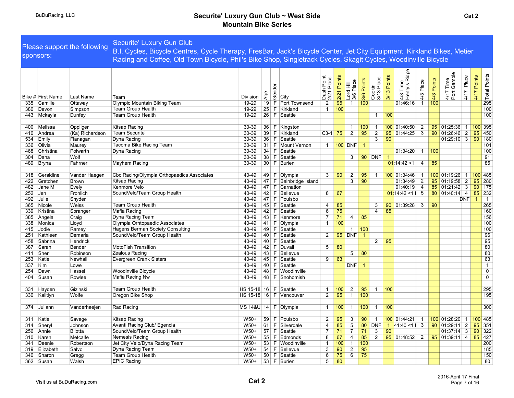| sponsors: |                     | Please support the following | <b>Securite' Luxury Gun Club</b><br>B.I. Cycles, Bicycle Centres, Cycle Therapy, FresBar, Jack's Bicycle Center, Jet City Equipment, Kirkland Bikes, Metier<br>Racing and Coffee, Old Town Bicycle, Phil's Bike Shop, Singletrack Cycles, Skagit Cycles, Woodinville Bicycle |                          |        |        |                             |                                    |             |                        |                |                      |                |                                                                                                                                                                            |                |            |                          |                |                |                     |
|-----------|---------------------|------------------------------|------------------------------------------------------------------------------------------------------------------------------------------------------------------------------------------------------------------------------------------------------------------------------|--------------------------|--------|--------|-----------------------------|------------------------------------|-------------|------------------------|----------------|----------------------|----------------|----------------------------------------------------------------------------------------------------------------------------------------------------------------------------|----------------|------------|--------------------------|----------------|----------------|---------------------|
|           | Bike # First Name   | Last Name                    | Team                                                                                                                                                                                                                                                                         | Division                 | Age    | Gender | City                        | n Point<br>Place<br>Dash<br>2/21 F | 2/21 Points | Lord Hill<br>3/6 Place | 3/6 Points     | Cookin<br>3/13 Place | Points<br>3/13 | 4/3 Time<br>Henry's Ridge                                                                                                                                                  | 4/3 Place      | 4/3 Points | 4/17 Time<br>Port Gamble | Place<br>4/17  | Points<br>4/17 | <b>Total Points</b> |
|           | 335 Camille         | Ottaway                      | Olympic Mountain Biking Team                                                                                                                                                                                                                                                 | 19-29                    |        |        | 19 F Port Townsend          | $\overline{2}$                     | 95          | $\overline{1}$         | 100            |                      |                | 01:46:16                                                                                                                                                                   | $\overline{1}$ | 100        |                          |                |                | 295                 |
| 380       | Devon               | Simpson                      | <b>Team Group Health</b>                                                                                                                                                                                                                                                     | 19-29                    |        |        | 25 F Kirkland               | $\mathbf{1}$                       | 100         |                        |                |                      |                |                                                                                                                                                                            |                |            |                          |                |                | 100                 |
|           | 443 Mckayla         | Dunfey                       | Team Group Health                                                                                                                                                                                                                                                            | 19-29                    |        |        | 26 F Seattle                |                                    |             |                        |                |                      | $1 \vert 100$  |                                                                                                                                                                            |                |            |                          |                |                | 100                 |
|           |                     |                              |                                                                                                                                                                                                                                                                              |                          |        |        |                             |                                    |             |                        |                |                      |                |                                                                                                                                                                            |                |            |                          |                |                |                     |
|           | 400 Melissa         | Oppliger                     | Kitsap Racing                                                                                                                                                                                                                                                                | 30-39                    |        |        | 36 F Kingston               |                                    |             | $\mathbf{1}$           | 100            | $\overline{1}$       |                | $100$ 01:40:50 2                                                                                                                                                           |                |            | 95 01:25:36 1 100 395    |                |                |                     |
|           | 410 Andrea          | (Ka) Richardson              | Team Securite'                                                                                                                                                                                                                                                               | 30-39                    |        |        | 39 F Kirkland               | $C3-1$ 75                          |             | $\overline{2}$         | 95             | 2                    |                | $95$ 01:44:25 3                                                                                                                                                            |                |            | $90$ 01:26:46 2 95       |                |                | 450                 |
| 534       | Emily               | Flanagan                     | Dyna Racing                                                                                                                                                                                                                                                                  | 30-39                    |        |        | 36 F Seattle                |                                    |             |                        |                | 3                    | 90             |                                                                                                                                                                            |                |            | $01:29:10$ 3 90          |                |                | 180                 |
|           | 336 Olivia          | Maurey                       | Tacoma Bike Racing Team                                                                                                                                                                                                                                                      | 30-39                    |        |        | 31 F Mount Vernon           |                                    |             | 1 <b>100 DNF</b>       | $\overline{1}$ |                      |                |                                                                                                                                                                            |                |            |                          |                |                | 101                 |
| 468       | Christina           | Polwarth                     | Dyna Racing                                                                                                                                                                                                                                                                  | 30-39                    |        |        | 34 F Seattle                |                                    |             |                        |                |                      |                | $01:34:20$ 1 100                                                                                                                                                           |                |            |                          |                |                | 100                 |
| 304       | Dana                | Wolf                         |                                                                                                                                                                                                                                                                              | 30-39                    |        |        | 38 F Seattle                |                                    |             |                        |                | $3   90  $ DNF       | -1             |                                                                                                                                                                            |                |            |                          |                |                | 91                  |
|           | 489 Bryna           | Fahrner                      | Mayhem Racing                                                                                                                                                                                                                                                                | 30-39                    |        |        | 30 F Burien                 |                                    |             |                        |                |                      |                | $01:14:42 < 1$ 4                                                                                                                                                           |                | 85         |                          |                |                | 85                  |
|           |                     |                              |                                                                                                                                                                                                                                                                              |                          |        |        |                             |                                    |             |                        |                |                      |                |                                                                                                                                                                            |                |            |                          |                |                |                     |
|           | 318 Geraldine       | Vander Haegen                | Cbc Racing/Olympia Orthopaedics Associates                                                                                                                                                                                                                                   | 40-49                    |        |        | 49 F Olympia                | 3                                  | 90          | $\overline{2}$         | 95             |                      |                |                                                                                                                                                                            | $\overline{1}$ |            | $100$ 01:19:26 1 100 485 |                |                |                     |
| 422       | Gretchen            | <b>Brown</b>                 | Kitsap Racing                                                                                                                                                                                                                                                                | 40-49                    |        |        | 47 F Bainbridge Island      |                                    |             | $\overline{3}$         | 90             |                      |                | $01:34:49$ 2                                                                                                                                                               |                |            | 95 01:19:58              | $\overline{2}$ | 95             | 280                 |
| 482       | Jane M              | Evely                        | Kenmore Velo                                                                                                                                                                                                                                                                 | 40-49                    |        |        | 47 F Carnation              |                                    |             |                        |                |                      |                | $01:40:19$ 4                                                                                                                                                               |                |            | $85$ 01:21:42 3          |                | 90             | 175                 |
| $252$ Jen |                     | Frohlich                     | SoundVelo/Team Group Health                                                                                                                                                                                                                                                  | 40-49                    |        |        | 42 F Bellevue               | 8                                  | 67          |                        |                |                      |                | $01:14:42 < 1$ 5                                                                                                                                                           |                |            | $80$ 01:40:14 4          |                | 85             | 232                 |
| 492 Julie |                     | Snyder                       |                                                                                                                                                                                                                                                                              | 40-49                    |        |        | 47 F Poulsbo                |                                    |             |                        |                |                      |                |                                                                                                                                                                            |                |            |                          | DNF            | $1 \mid 1$     |                     |
|           | 365 Nicole          | Weiss                        | <b>Team Group Health</b>                                                                                                                                                                                                                                                     | 40-49                    |        |        | 45 F Seattle                | $\overline{4}$                     | 85          |                        |                | 3                    |                | $90$ 01:39:28 3 90                                                                                                                                                         |                |            |                          |                |                | 265                 |
|           | 339 Kristina        | Spranger                     | Mafia Racing                                                                                                                                                                                                                                                                 | 40-49                    |        |        | 42 F Seattle                | 6                                  | 75          |                        |                | $\overline{4}$       | 85             |                                                                                                                                                                            |                |            |                          |                |                | 160                 |
|           | 385 Angela          | Craig                        | Dyna Racing Team                                                                                                                                                                                                                                                             | 40-49                    |        |        | 43 F Kenmore                | $\overline{7}$                     | 71          | $\overline{4}$         | 85             |                      |                |                                                                                                                                                                            |                |            |                          |                |                | 156                 |
| 338       | Monica              | Lloyd                        | Olympia Orhtopaedic Associates                                                                                                                                                                                                                                               | 40-49                    |        |        | 41 F Olympia                | $\mathbf{1}$                       | 100         |                        |                |                      |                |                                                                                                                                                                            |                |            |                          |                |                | 100                 |
| 415       | Jodie               | Ramey                        | Hagens Berman Society Consulting                                                                                                                                                                                                                                             | 40-49                    | 49     | - F    | Seattle                     |                                    |             | 1                      | 100            |                      |                |                                                                                                                                                                            |                |            |                          |                |                | 100                 |
| 251       | Kathleen            | Demaria                      | SoundVelo/Team Group Health                                                                                                                                                                                                                                                  | 40-49                    |        |        | 40 F Seattle                | $\overline{2}$                     |             | <b>95 DNF</b>          | $\overline{1}$ |                      |                |                                                                                                                                                                            |                |            |                          |                |                | 96                  |
| 458       | Sabrina             | Hendrick                     |                                                                                                                                                                                                                                                                              | 40-49                    | 40 F   |        | Seattle                     |                                    |             |                        |                | $\overline{a}$       | 95             |                                                                                                                                                                            |                |            |                          |                |                | 95                  |
| 387       | ∣Sarah              | Bender                       | <b>MotoFish Transition</b>                                                                                                                                                                                                                                                   | 40-49                    |        |        | 42 F Duvall                 | 5                                  | 80          |                        |                |                      |                |                                                                                                                                                                            |                |            |                          |                |                | 80                  |
| 411 Sheri |                     | Robinson                     | Zealous Racing                                                                                                                                                                                                                                                               | 40-49                    | 43     |        | F Bellevue                  |                                    |             | 5                      | 80             |                      |                |                                                                                                                                                                            |                |            |                          |                |                | 80                  |
| 253 Katie |                     | Newhall                      | Evergreen Crank Sisters                                                                                                                                                                                                                                                      | 40-49                    |        |        | 45 F Seattle                | 9                                  | 63          |                        |                |                      |                |                                                                                                                                                                            |                |            |                          |                |                | 63                  |
| 337 Kim   |                     | Lowe                         |                                                                                                                                                                                                                                                                              | 40-49                    |        |        | 40 F Seattle                |                                    |             | $DNF$ 1                |                |                      |                |                                                                                                                                                                            |                |            |                          |                |                | $\overline{1}$      |
| 254       | Dawn                | Hassel                       | <b>Woodinville Bicycle</b>                                                                                                                                                                                                                                                   | 40-49                    |        |        | 48 F Woodinville            |                                    |             |                        |                |                      |                |                                                                                                                                                                            |                |            |                          |                |                | 0                   |
|           | 404 Susan           | Rowlee                       | Mafia Racing Nw                                                                                                                                                                                                                                                              | 40-49                    |        |        | 48 F Snohomish              |                                    |             |                        |                |                      |                |                                                                                                                                                                            |                |            |                          |                |                | $\mathbf 0$         |
|           |                     |                              |                                                                                                                                                                                                                                                                              |                          |        |        |                             |                                    |             |                        |                |                      |                |                                                                                                                                                                            |                |            |                          |                |                |                     |
|           | 331 Hayden          | Gizinski                     | <b>Team Group Health</b>                                                                                                                                                                                                                                                     | HS 15-18 $16$ F Seattle  |        |        |                             | $\mathbf{1}$                       | 100         | $\overline{2}$         | 95             | $1 \overline{100}$   |                |                                                                                                                                                                            |                |            |                          |                |                | 295                 |
|           |                     | Wolfe                        | Oregon Bike Shop                                                                                                                                                                                                                                                             |                          |        |        | HS 15-18 $16$ F Vancouver   | $\overline{2}$                     | 95          | $1 \vert 100 \vert$    |                |                      |                |                                                                                                                                                                            |                |            |                          |                |                |                     |
|           | 330 Kailtlyn        |                              |                                                                                                                                                                                                                                                                              |                          |        |        |                             |                                    |             |                        |                |                      |                |                                                                                                                                                                            |                |            |                          |                |                | 195                 |
|           | 374 Juliann         | Vanderhaejen                 | Rad Racing                                                                                                                                                                                                                                                                   | MS 14&U 14   F   Olympia |        |        |                             | $\mathbf{1}$                       | 100         | 1   100                |                | $1 \overline{100}$   |                |                                                                                                                                                                            |                |            |                          |                |                | 300                 |
| 311 Katie |                     | Savage                       | Kitsap Racing                                                                                                                                                                                                                                                                | $W50+$                   |        |        | 59 F Poulsbo                | 2                                  | 95          | 3                      | 90             | $\overline{1}$       |                | 100 01:44:21                                                                                                                                                               | $\overline{1}$ |            | 100 01:28:20             |                | 1 100 485      |                     |
|           | 314 Sheryl          | Johnson                      | Avanti Racing Club/ Egencia                                                                                                                                                                                                                                                  | $W50+$                   | $61$ F |        | Silverdale                  | 4                                  | 85          | 5                      | 80             | DNF                  |                | 1 41:40 <1   3                                                                                                                                                             |                |            | $90$ 01:29:11 2          |                | 95             | 351                 |
|           | 256 Annie           | Bilotta                      | SoundVelo/Team Group Health                                                                                                                                                                                                                                                  | $W50+$                   |        |        | 57 F Seattle                | $\overline{7}$                     | 71          | $\overline{7}$         | 71             | 3                    | 90             |                                                                                                                                                                            |                |            | $01:37:14$ 3 90          |                |                | 322                 |
|           |                     | Metcalfe                     | Nemesis Racing                                                                                                                                                                                                                                                               | $W50+$                   |        |        | 55 F Edmonds                | 8                                  | 67          | $\overline{4}$         | 85             | $\overline{2}$       |                | $\begin{array}{ c c c c c c c c c } \hline \textbf{95} & \textbf{01:48:52} & \textbf{2} & \textbf{95} & \textbf{01:39:11} & \textbf{4} & \textbf{85} \ \hline \end{array}$ |                |            |                          |                |                | 427                 |
| 310       | Karen               |                              | Jet City Velo/Dyna Racing Team                                                                                                                                                                                                                                               | $W50+$                   |        |        | 53 F Woodinville            | $\overline{1}$                     |             | $\mathbf{1}$           |                |                      |                |                                                                                                                                                                            |                |            |                          |                |                | 200                 |
| 341       | Deenie              | Robertson                    | Dyna Racing Team                                                                                                                                                                                                                                                             |                          |        |        |                             |                                    | 100         |                        | 100            |                      |                |                                                                                                                                                                            |                |            |                          |                |                |                     |
|           | 319 Elizabeth       | Salvo                        | <b>Team Group Health</b>                                                                                                                                                                                                                                                     | $W50+$                   |        |        | 54 F Bellevue               | 3<br>6                             | 90          | $\overline{2}$<br>6    | 95             |                      |                |                                                                                                                                                                            |                |            |                          |                |                | 185                 |
| 362       | 340 Sharon<br>Susan | Gregg<br>Walsh               |                                                                                                                                                                                                                                                                              | $W50+$<br>$W50+$         |        |        | 50 F Seattle<br>53 F Burien | 5                                  | 75<br>80    |                        | 75             |                      |                |                                                                                                                                                                            |                |            |                          |                |                | 150<br>80           |
|           |                     |                              | <b>EPIC Racing</b>                                                                                                                                                                                                                                                           |                          |        |        |                             |                                    |             |                        |                |                      |                |                                                                                                                                                                            |                |            |                          |                |                |                     |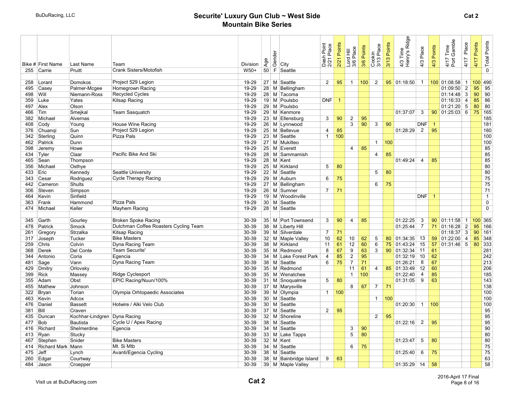|            |                       |                                          |                                        |                |     |        |                                |                          |             |                        |             |                                  |             | 4/3 Time<br>Henry's Ridge |                 |            |                                             |                 |                     |
|------------|-----------------------|------------------------------------------|----------------------------------------|----------------|-----|--------|--------------------------------|--------------------------|-------------|------------------------|-------------|----------------------------------|-------------|---------------------------|-----------------|------------|---------------------------------------------|-----------------|---------------------|
|            |                       |                                          |                                        |                |     |        |                                | Dash Point<br>2/21 Place | 2/21 Points |                        |             | Cookin<br>3/13 Place             | Points      |                           |                 | 4/3 Points | Time<br>Gamble<br>Place                     | Points          | <b>Total Points</b> |
|            |                       |                                          |                                        |                |     | Gender |                                |                          |             | Lord Hill<br>3/6 Place | 3/6 Points  |                                  |             |                           | 4/3 Place       |            |                                             |                 |                     |
|            |                       |                                          |                                        |                | Ąge |        |                                |                          |             |                        |             |                                  | 3/13        |                           |                 |            | 4/17<br>4/17<br>Port (                      | 4/17            |                     |
|            | Bike # First Name     | Last Name                                | Team                                   | Division       |     |        | City                           |                          |             |                        |             |                                  |             |                           |                 |            |                                             |                 |                     |
|            | 255 Carrie            | Pruitt                                   | Crank Sisters/Motofish                 | W50+           |     |        | 50 F Seattle                   |                          |             |                        |             |                                  |             |                           |                 |            |                                             |                 | $\mathbf 0$         |
|            |                       |                                          |                                        |                |     |        |                                |                          |             |                        |             |                                  |             |                           |                 |            |                                             |                 |                     |
|            | 258 Lorant            | Domokos                                  | Project 529 Legion<br>Homegrown Racing | 19-29<br>19-29 |     |        | 27 M Seattle                   | $\overline{2}$           | 95          |                        | 1   100     | $\overline{2}$                   |             | $95$ 01:18:50 1           |                 |            | 100 01:08:58                                | 1 100 490<br>95 | 95                  |
|            | 495 Casey             | Palmer-Mcgee<br>Niemann-Ross             |                                        |                |     |        | 28 M Bellingham<br>28 M Tacoma |                          |             |                        |             |                                  |             |                           |                 |            | 2<br>01:09:50                               | 90              | 90                  |
| 498   Will | 359 Luke              | Yates                                    | <b>Recycled Cycles</b>                 | 19-29<br>19-29 |     |        | 19 M Poulsbo                   | $DNF$ 1                  |             |                        |             |                                  |             |                           |                 |            | 01:14:48<br>$\mathbf{3}$<br>$\overline{4}$  | 85              | 86                  |
| 497 Alex   |                       | Olson                                    | Kitsap Racing                          | 19-29          |     |        | 29 M Poulsbo                   |                          |             |                        |             |                                  |             |                           |                 |            | 01:16:33<br>$01:21:20$ 5                    | 80              | 80                  |
| 466 Tim    |                       | Smejkal                                  | Team Sasquatch                         | 19-29          |     |        | 29 M Kenmore                   |                          |             |                        |             |                                  |             | $01:37:07$ 3              |                 | 90         | $\vert 01:25:03 \vert 6 \vert 75 \vert 165$ |                 |                     |
|            | 382 Michael           | Alvernas                                 |                                        | 19-29          |     |        | 23 M Ellensburg                | 3                        | 90          | $\overline{2}$         | 95          |                                  |             |                           |                 |            |                                             |                 | 185                 |
|            | 408 Cody              | Young                                    | House Wine Racing                      | 19-29          |     |        | 26 M Lynnwood                  |                          |             | 3                      | 90          | 3                                | 90          |                           | <b>DNF</b>      |            |                                             |                 | 181                 |
|            | 376 Chuangi           | Sun                                      | Project 529 Legion                     | 19-29          |     |        | 25 M Bellevue                  | $\overline{4}$           | 85          |                        |             |                                  |             | $01:28:29$ 2              |                 | 95         |                                             |                 | 180                 |
|            | 342 Sterling          | Quinn                                    | Pizza Pals                             | 19-29          |     |        | 23 M Seattle                   | $\mathbf{1}$             | 100         |                        |             |                                  |             |                           |                 |            |                                             |                 | 100                 |
|            | 462 Patrick           | Dunn                                     |                                        | 19-29          |     |        | 27 M Mukilteo                  |                          |             |                        |             | 1                                | 100         |                           |                 |            |                                             |                 | 100                 |
|            | 398 Jeremy            | Howe                                     |                                        | 19-29          |     |        | 25 M Everett                   |                          |             | $\overline{4}$         | 85          |                                  |             |                           |                 |            |                                             |                 | 85                  |
|            | 434 Tyler             | Claar                                    | Pacific Bike And Ski                   | 19-29          |     |        | 28   M   Sammamish             |                          |             |                        |             | $\overline{4}$                   | 85          |                           |                 |            |                                             |                 | 85                  |
|            | 465 Sean              | Thompson                                 |                                        | 19-29          |     |        | 28 M Kent                      |                          |             |                        |             |                                  |             | $01:49:24$ 4              |                 | 85         |                                             |                 | 85                  |
|            | 356 Michael           | Osthye                                   |                                        | 19-29          |     |        | 25 M Kirkland                  | 5                        | 80          |                        |             |                                  |             |                           |                 |            |                                             |                 | 80                  |
| 433   Eric |                       | Kennedy                                  | Seattle University                     | 19-29          |     |        | 22 M Seattle                   |                          |             |                        |             | 5 <sup>5</sup>                   | 80          |                           |                 |            |                                             |                 | 80                  |
|            | 343 Cesar             | Rodriguez                                | Cycle Therapy Racing                   | 19-29          |     |        | 29 M Auburn                    | 6                        | 75          |                        |             |                                  |             |                           |                 |            |                                             |                 | 75                  |
|            | 442 Cameron           | Shults                                   |                                        | 19-29          |     |        | 27 M Bellingham                |                          |             |                        |             |                                  | $6 \mid 75$ |                           |                 |            |                                             |                 | 75                  |
|            | 306 Steven            | Simpson                                  |                                        | 19-29          |     |        | 26 M Sumner                    | $\overline{7}$           | 71          |                        |             |                                  |             |                           |                 |            |                                             |                 | 71                  |
|            | 464 Kevin             | Sinfield                                 |                                        | 19-29          |     |        | 19 M Woodinville               |                          |             |                        |             |                                  |             |                           | $DNF$ 1         |            |                                             |                 | $\mathbf{1}$        |
|            | 363 Frank             | Hammond                                  | Pizza Pals                             | 19-29          |     |        | 30 M Seattle                   |                          |             |                        |             |                                  |             |                           |                 |            |                                             |                 | $\Omega$            |
|            | 474 Michael           | Keller                                   | Mayhem Racing                          | 19-29          |     |        | 28 M Seattle                   |                          |             |                        |             |                                  |             |                           |                 |            |                                             |                 | $\Omega$            |
|            |                       |                                          |                                        |                |     |        |                                |                          |             |                        |             |                                  |             |                           |                 |            |                                             |                 |                     |
|            | 345 Garth             | Gourley                                  | <b>Broken Spoke Racing</b>             | 30-39          |     |        | 35 M Port Townsend             | $\mathbf{3}$             | 90          | $\overline{4}$         | 85          |                                  |             | 01:22:25                  | $\mathbf{3}$    |            | 90 01:11:58 1 100 365                       |                 |                     |
|            | 478 Patrick           | Smock                                    | Dutchman Coffee Roasters Cycling Team  | 30-39          |     |        | 38 M Liberty Hill              |                          |             |                        |             |                                  |             | 01:25:44                  | $\overline{7}$  | 71         | $\overline{2}$<br> 01:16:28                 | 95              | 166                 |
|            | 261 Gregory           | Strzalka                                 | Kitsap Racing                          | 30-39          |     |        | 39 M Silverdale                | $\overline{7}$           | 71          |                        |             |                                  |             |                           |                 |            | $01:18:37$ 3                                | 90              | 161                 |
|            | 317 Joseph            | Tucker                                   | <b>Bike Masters</b>                    | 30-39          |     |        | 32 M Maple Valley              | 10                       | 62          | 10                     | 62          | 5                                |             | 80 01:34:35               | 13              |            | 59 01:22:00<br>$\overline{4}$               | 85              | 348                 |
|            | 259 Chris             | Colvin                                   | Dyna Racing Team                       | 30-39          |     |        | 38 M Kirkland                  | 11                       | 61          | 12                     | 60          | 6                                |             | 75 01:43:24               | 15              | 57         | 01:31:46 5 80                               |                 | 333                 |
|            | 368 Derek             | Del Conte                                | Team Securite'                         | 30-39          |     |        | 35 M Redmond                   | 8                        | 67          | 9                      | 63          | 3                                |             | 90 01:32:34               | $\vert$ 11      | 61         |                                             |                 | 281                 |
| 344        | Antonio               | Coria                                    | Egencia                                | 30-39          |     |        | 34   M Lake Forest Park        | $\overline{4}$           | 85          | $\overline{2}$         | 95          |                                  |             | 01:32:19                  | 10              | 62         |                                             |                 | 242                 |
|            | 481 Sage              | Vann                                     | Dyna Racing Team                       | 30-39          |     |        | 38 M Seattle                   | 6                        | 75          | $\overline{7}$         | 71          |                                  |             | 01:26:21                  | 8               | 67         |                                             |                 | 213                 |
|            | 429 Dmitry            | Orlovsky                                 |                                        | 30-39          |     |        | 35   M   Redmond               |                          |             | 11                     | 61          | $\overline{4}$                   |             | 85 01:33:49               | 12              | 60         |                                             |                 | 206                 |
| 399 Rick   |                       | Massey                                   | <b>Ridge Cyclesport</b>                | 30-39          |     |        | 35 M Wenatchee                 |                          |             | $\mathbf{1}$           | 100         |                                  |             | 01:22:40                  | $\overline{4}$  | 85         |                                             |                 | 185                 |
|            | 355 Adam              | Obst                                     | EPIC Racing/Nuun/100%                  | 30-39          |     |        | 31 M Snoqualmie                | 5                        | 80          |                        |             |                                  |             | $01:31:05$ 9              |                 | 63         |                                             |                 | 143                 |
|            | 455 Mathew            | Johnson                                  |                                        | 30-39          |     |        | 37 M Marysville                |                          |             | 8                      | 67          | $7 \overline{\smash{\big)}\ 71}$ |             |                           |                 |            |                                             |                 | 138                 |
|            | 322 Bryan             | Torian                                   | Olympia Orhtopaedic Associates         | 30-39          |     |        | 39 M Olympia                   | $\mathbf{1}$             | 100         |                        |             |                                  |             |                           |                 |            |                                             |                 | 100                 |
|            | 463 Kevin             | Adcox                                    |                                        | 30-39          |     |        | 30 M Seattle                   |                          |             |                        |             | 1                                | 100         |                           |                 |            |                                             |                 | 100                 |
|            | 476 Daniel            | <b>Bassett</b>                           | Hotwire / Alki Velo Club               | 30-39<br>30-39 |     |        | 30 M Seattle<br>37 M Seattle   | $\overline{2}$           | 95          |                        |             |                                  |             | $01:20:30$ 1 100          |                 |            |                                             |                 | 100<br>95           |
| 381        | Bill<br>435 Duncan    | Craven<br>Kochhar-Lindgren   Dyna Racing |                                        | 30-39          |     |        | 32 M Shoreline                 |                          |             |                        |             | $2^{\circ}$                      | 95          |                           |                 |            |                                             |                 | 95                  |
| 477 Bob    |                       | <b>Bautista</b>                          | Cycle U / Apex Racing                  | 30-39          |     |        | 38 M Seattle                   |                          |             |                        |             |                                  |             | $01:22:16$ 2              |                 | 95         |                                             |                 | 95                  |
|            | 416 Richard           | Shelmerdine                              | Egencia                                | 30-39          |     |        | 34 M Seattle                   |                          |             | 3                      | 90          |                                  |             |                           |                 |            |                                             |                 | 90                  |
|            | 413 Ryan              | Stucky                                   |                                        | 30-39          |     |        | 33 M Lake Tapps                |                          |             | 5                      | 80          |                                  |             |                           |                 |            |                                             |                 | 80                  |
|            | 467 Stephen           | Snider                                   | <b>Bike Masters</b>                    | 30-39          |     |        | 32 M Kent                      |                          |             |                        |             |                                  |             | 01:23:47                  | $5\overline{5}$ | 80         |                                             |                 | 80                  |
|            | 414 Richard Mark Mann |                                          | Mt. Si Mtb                             | 30-39          |     |        | 34 M Seattle                   |                          |             |                        | $6 \mid 75$ |                                  |             |                           |                 |            |                                             |                 | 75                  |
| 475 Jeff   |                       | Lynch                                    | Avanti/Egencia Cycling                 | 30-39          |     |        | 38 M Seattle                   |                          |             |                        |             |                                  |             | 01:25:40                  | - 6             | 75         |                                             |                 | 75                  |
|            | 260 Edgar             | Courtway                                 |                                        | 30-39          |     |        | 38 M Bainbridge Island         | 9                        | 63          |                        |             |                                  |             |                           |                 |            |                                             |                 | 63                  |
|            | 484 Jason             | Croepper                                 |                                        | 30-39          |     |        | 39 M Maple Valley              |                          |             |                        |             |                                  |             | $01:35:29$ 14             |                 | 58         |                                             |                 | 58                  |
|            |                       |                                          |                                        |                |     |        |                                |                          |             |                        |             |                                  |             |                           |                 |            |                                             |                 |                     |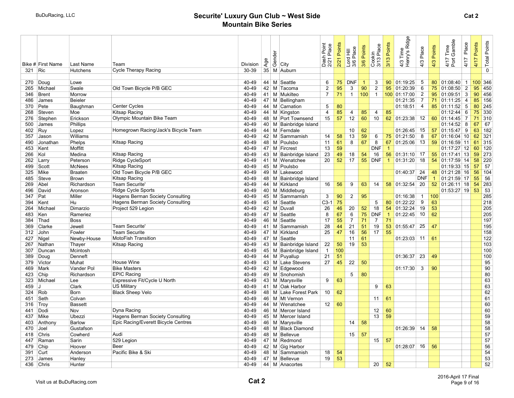|          |                   |                 |                                         |          |     |        |                          | Dash Point<br>2/21 Place | 2/21 Points | Lord Hill<br>3/6 Place            | 3/6 Points                        | Cookin<br>3/13 Place | 3/13 Points                       | 4/3 Time<br>Henry's Ridge<br>4/3 Place | 4/3 Points     | Gamble<br>Place<br>Time          | Points | <b>Total Points</b> |
|----------|-------------------|-----------------|-----------------------------------------|----------|-----|--------|--------------------------|--------------------------|-------------|-----------------------------------|-----------------------------------|----------------------|-----------------------------------|----------------------------------------|----------------|----------------------------------|--------|---------------------|
|          |                   |                 |                                         |          |     | Gender |                          |                          |             |                                   |                                   |                      |                                   |                                        |                |                                  |        |                     |
|          | Bike # First Name | Last Name       | Team                                    | Division | Age |        | City                     |                          |             |                                   |                                   |                      |                                   |                                        |                | 4/17<br>4/17<br>Port (           | 4/17   |                     |
| 321 Ric  |                   | <b>Hutchens</b> | <b>Cycle Therapy Racing</b>             | 30-39    |     |        | 35 M Auburn              |                          |             |                                   |                                   |                      |                                   |                                        |                |                                  |        | $\mathbf 0$         |
|          |                   |                 |                                         |          |     |        |                          |                          |             |                                   |                                   |                      |                                   |                                        |                |                                  |        |                     |
|          | 270 Doug          | Lowe            |                                         | 40-49    |     |        | 44 M Seattle             | 6                        |             | $75$ DNF                          | $\overline{1}$                    | 3                    |                                   | 90 01:19:25<br>- 5                     |                | 80 01:08:40 1 100 346            |        |                     |
|          | 265 Michael       | Swale           | Old Town Bicycle P/B GEC                | 40-49    |     |        | 42 M Tacoma              | $\overline{2}$           | 95          | 3                                 | 90                                | $\overline{2}$       |                                   | 95 01:20:39<br>6                       |                | 75 01:08:50<br>$\overline{2}$    | 95     | 450                 |
|          | 346 Brent         | Morrow          |                                         | 40-49    |     |        | 41 M Mukilteo            | $\overline{7}$           | 71          |                                   | $1 \vert 100 \vert$               | $\overline{1}$       |                                   | $\overline{2}$<br>$100$ 01:17:00       |                | 95 01:09:51<br>3                 | 90     | 456                 |
|          | 486 James         | Beieler         |                                         | 40-49    |     |        | 47   M Bellingham        |                          |             |                                   |                                   |                      |                                   | $\overline{7}$<br>01:21:35             |                | $71$ 01:11:25<br>$\vert 4 \vert$ | 85     | 156                 |
|          | 370 Pete          | Baughman        | <b>Center Cycles</b>                    | 40-49    |     |        | 44 M Carnation           | 5                        | 80          |                                   |                                   |                      |                                   | $01:18:51$ 4                           |                | $85$ 01:11:52 5                  | 80     | 245                 |
|          | 268 Steven        | Moe             | Kitsap Racing                           | 40-49    |     |        | 44 M Kingston            | $\overline{4}$           | 85          | 4                                 | 85                                | $\overline{4}$       | 85                                |                                        |                | $01:12:44$ 6                     | 75     | 330                 |
|          | 276 Stephen       | Erickson        | Olympic Mountain Bike Team              | 40-49    |     |        | 48 M Port Townsend       | 15 <sub>15</sub>         | 57          | 12                                | 60                                |                      |                                   | 10 62 01:23:38 12 60 01:14:45          |                | $\overline{7}$                   | 71     | 310                 |
|          | 500 James         | Phillips        |                                         | 40-49    |     |        | 40 M Bainbridge Island   |                          |             |                                   |                                   |                      |                                   |                                        |                | $01:14:52$ 8                     | 67     | 67                  |
| 402 Ruy  |                   | Lopez           | Homegrown Racing/Jack's Bicycle Team    | 40-49    |     |        | 44 M Ferndale            |                          |             | 10                                | 62                                |                      |                                   | 01:26:45 15                            |                | $57$ 01:15:47 9                  | 63     | 182                 |
|          | 357 Jason         | Williams        |                                         | 40-49    |     |        | 42   M Sammamish         | 14                       | 58          | 13                                | 59                                | 6                    |                                   | 8<br>75 01:21:50                       |                | 67 01:16:04<br>10                | 62     | 321                 |
| 490      | Jonathan          | Phelps          | Kitsap Racing                           | 40-49    |     |        | 48 M Poulsbo             | 11                       | 61          | 8                                 | 67                                | 8                    |                                   | 67 01:25:06 13                         |                | $\frac{59}{01:16:59}$ 11         | -61    | 315                 |
|          | 453 Kent          | Moffitt         |                                         | 40-49    |     |        | 47 M Fircrest            | 13                       | 59          |                                   |                                   | <b>DNF</b>           | $\overline{1}$                    |                                        |                | $01:17:27$ 12                    | -60    | 120                 |
| 266 Kol  |                   | Medina          | <b>Kitsap Racing</b>                    | 40-49    |     |        | 43 M Bainbridge Island   | 23                       | 49          | 18                                | 54                                | 16                   |                                   | $56$ 01:31:10 17                       |                | $55$ 01:17:41 13                 | 59     | 273                 |
|          | 262 Larry         | Peterson        | <b>Ridge CycleSport</b>                 | 40-49    |     |        | 41 M Wenatchee           | 20                       | 52          | 17                                |                                   | 55 DNF               |                                   | 1   01:31:20   18                      |                | $54 \mid 01:17:59$<br>  14       | 58     | 220                 |
|          | 499 Scott         | <b>McNees</b>   | Kitsap Racing                           | 40-49    |     |        | 45 M Poulsbo             |                          |             |                                   |                                   |                      |                                   |                                        |                | 01:19:33 15 57                   |        | 57                  |
|          | 325 Mike          | <b>Braaten</b>  | Old Town Bicycle P/B GEC                | 40-49    |     |        | 49 M Lakewood            |                          |             |                                   |                                   |                      |                                   | $01:40:37$ 24                          |                | $48$ 01:21:28 16                 | 56     | 104                 |
|          | 485 Steve         | <b>Brown</b>    | Kitsap Racing                           | 40-49    |     |        | 48 M Bainbridge Island   |                          |             |                                   |                                   |                      |                                   | DNF                                    | $\overline{1}$ | 01:21:59 17                      | 55     | 56                  |
|          | 269 Abel          | Richardson      | Team Securite'                          | 40-49    |     |        | 44 M Kirkland            | 16                       | 56          | 9                                 | 63                                | 14                   |                                   | $\frac{58}{101:32:54}$ 20              |                | $52$ 01:26:11 18 54              |        | 283                 |
|          | 496 David         | Aronson         | <b>Ridge Cycle Sports</b>               | 40-49    |     |        | 40 M Middleburg          |                          |             |                                   |                                   |                      |                                   |                                        |                | $01:53:27$ 19 53                 |        | 53                  |
| 347 Pat  |                   | Miller          | Hagens Berman Society Consulting        | 40-49    |     |        | 45 M Sammamish           | 3                        | 90          | $\overline{2}$                    | 95                                |                      |                                   | 01:16:38<br>$\mathbf{1}$               | 100            |                                  |        | 285                 |
|          | 394 Kent          | Hu              | Hagens Berman Society Consulting        | 40-49    |     |        | 45 M Seattle             | $C3-1$                   | 75          |                                   |                                   | 5                    |                                   | 9<br>80 01:22:22                       | 63             |                                  |        | 218                 |
| 264      | Michael           | Dimarzio        | Project 529 Legion                      | 40-49    |     |        | 42 M Duvall              | 26                       | 46          | 20                                | 52                                | 18                   |                                   | 54 01:32:24<br>19                      | 53             |                                  |        | 205                 |
| 483 Ken  |                   | Rameriez        |                                         | 40-49    |     |        | 47 M Seattle             | 8                        | 67          | 6                                 | 75                                | <b>DNF</b>           | $\overline{1}$                    | $01:22:45$ 10                          | 62             |                                  |        | 205                 |
|          | 384 Thad          | <b>Boss</b>     |                                         | 40-49    |     |        | 46 M Seattle             | 17                       | 55          | $\overline{7}$                    | 71                                | $\overline{7}$       | 71                                |                                        |                |                                  |        | 197                 |
| 369      | Clarke            | Jewell          | <b>Team Securite'</b>                   | 40-49    |     |        | 41 M Sammamish           | 28                       | 44          | 21                                | 51                                | 19                   |                                   | $53$ 01:55:47 25                       | 47             |                                  |        | 195                 |
|          | 312 John          | Fowler          | <b>Team Securite</b>                    | 40-49    |     |        | 47 M Kirkland            | 25                       | 47          | 16                                | 56                                | 17                   | 55                                |                                        |                |                                  |        | 158                 |
|          | 427 Nigel         | Newby-House     | <b>MotoFish Transition</b>              | 40-49    |     |        | 47 M Seattle             |                          |             | 11                                | 61                                |                      |                                   | 01:23:03 11 61                         |                |                                  |        | 122                 |
|          | 267 Nathan        | Thayer          | Kitsap Racing                           | 40-49    |     |        | 43   M Bainbridge Island | 22                       | 50          | 19                                | 53                                |                      |                                   |                                        |                |                                  |        | 103                 |
|          | 307 Duncan        | Mcintosh        |                                         | 40-49    |     |        | 45   M Bainbridge Island | $\mathbf{1}$             | 100         |                                   |                                   |                      |                                   |                                        |                |                                  |        | 100                 |
|          | 389 Doug          | Denneft         |                                         | 40-49    |     |        | 44 M Puyallup            | 21                       | 51          |                                   |                                   |                      |                                   | 01:36:37 23                            | 49             |                                  |        | 100                 |
|          | 379 Victor        | Muhat           | <b>House Wine</b>                       | 40-49    |     |        | 43   M Lake Stevens      | 27                       | 45          | $22 \overline{50}$                |                                   |                      |                                   |                                        |                |                                  |        | 95                  |
|          | 469 Mark          | Vander Pol      | <b>Bike Masters</b>                     | 40-49    |     |        | 42 M Edgewood            |                          |             |                                   |                                   |                      |                                   | 01:17:30<br>$\mathbf{3}$               | 90             |                                  |        | 90                  |
|          | 423 Chip          | Richardson      | <b>EPIC Racing</b>                      | 40-49    |     |        | 49 M Snohomish           |                          |             |                                   | $5 \mid 80$                       |                      |                                   |                                        |                |                                  |        | 80                  |
|          | 323 Michael       | Lee             | Expressive Fit/Cycle U North            | 40-49    |     |        | 43 M Marysville          | 9                        | 63          |                                   |                                   |                      |                                   |                                        |                |                                  |        | 63                  |
| 459 J    |                   | Clark           | US Military                             | 40-49    |     |        | 41 M Oak Harbor          |                          |             |                                   |                                   | 9                    | 63                                |                                        |                |                                  |        | 63                  |
| 324 Rob  |                   | <b>Born</b>     | <b>Black Sheep Velo</b>                 | 40-49    |     |        | 48   M Lake Forest Park  | 10 <sup>1</sup>          | 62          |                                   |                                   |                      |                                   |                                        |                |                                  |        | 62                  |
|          | 451 Seth          | Colvan          |                                         | 40-49    |     |        | 46 M Mt Vernon           |                          |             |                                   |                                   |                      | $11 \ 61$                         |                                        |                |                                  |        | 61                  |
| 316 Trov |                   | <b>Bassett</b>  |                                         | 40-49    |     |        | 44 M Wenatchee           | 12 <sup>1</sup>          | 60          |                                   |                                   |                      |                                   |                                        |                |                                  |        | 60                  |
| 441 Dodi |                   | Nov             | Dyna Racing                             | 40-49    |     |        | 46 M Mercer Island       |                          |             |                                   |                                   |                      | $12 \mid 60$                      |                                        |                |                                  |        | 60                  |
|          | 437 Mike          | Ubezzi          | <b>Hagens Berman Society Consulting</b> | 40-49    |     |        | 45 M Mercer Island       |                          |             |                                   |                                   | 13                   | 59                                |                                        |                |                                  |        | 59                  |
|          | 403 Anthony       | <b>Barlow</b>   | Epic Racing/Everett Bicycle Centres     | 40-49    |     |        | 46 M Marysville          |                          |             |                                   | $14 \overline{\smash{\big)}\ 58}$ |                      |                                   |                                        |                |                                  |        | 58                  |
| 470 Joel |                   | Gustafson       |                                         | 40-49    |     |        | 48 M Black Diamond       |                          |             |                                   |                                   |                      |                                   | $01:26:39$ 14                          | 58             |                                  |        | 58                  |
|          | 418 Chris         | Cowherd         | Audi                                    | 40-49    |     |        | 48 M Bellevue            |                          |             | $15 \overline{\smash{\big)}\ 57}$ |                                   |                      |                                   |                                        |                |                                  |        | 57                  |
|          | 447 Raman         | Sarin           | 529 Legion                              | 40-49    |     |        | 47 M Redmond             |                          |             |                                   |                                   |                      | $15 \overline{\smash{\big)}\ 57}$ |                                        |                |                                  |        | 57                  |
|          | 479 Chip          | Hoover          | Beer                                    | 40-49    |     |        | 42 M Gig Harbor          |                          |             |                                   |                                   |                      |                                   | $01:28:07$ 16 56                       |                |                                  |        | 56                  |
| 391      | Curt              | Anderson        | Pacific Bike & Ski                      | 40-49    |     |        | 48   M   Sammamish       | 18                       | 54          |                                   |                                   |                      |                                   |                                        |                |                                  |        | 54                  |
|          | 273 James         | Hanley          |                                         | 40-49    |     |        | 47 M Bellevue            | 19                       | 53          |                                   |                                   |                      |                                   |                                        |                |                                  |        | 53                  |
|          | 436 Chris         | Hunter          |                                         | 40-49    |     |        | 44 M Anacortes           |                          |             |                                   |                                   | 20                   | 52                                |                                        |                |                                  |        | 52                  |
|          |                   |                 |                                         |          |     |        |                          |                          |             |                                   |                                   |                      |                                   |                                        |                |                                  |        |                     |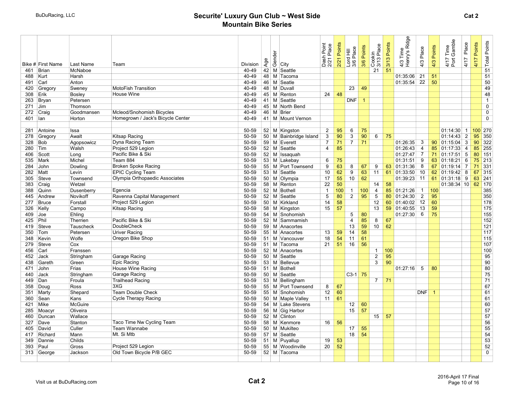|           | Bike # First Name | Last Name      | Team                                     | Division | Age | Gender | City                                   | Dash Point<br>2/21 Place | 2/21 Points | Lord Hill<br>3/6 Place | 3/6 Points | Cookin<br>3/13 Place | Points<br>3/13                    | 4/3 Time<br>Henry's Ridge | 4/3 Place      | 4/3 Points     | Time<br>Gamble<br>Place<br>4/17<br>Port (<br>4/17 |                 | Points<br>Points<br>Total<br>4/17 |              |
|-----------|-------------------|----------------|------------------------------------------|----------|-----|--------|----------------------------------------|--------------------------|-------------|------------------------|------------|----------------------|-----------------------------------|---------------------------|----------------|----------------|---------------------------------------------------|-----------------|-----------------------------------|--------------|
|           | 461 Brian         | McNaboe        |                                          | 40-49    |     |        | 42 M Seattle                           |                          |             |                        |            | 21                   | 51                                |                           |                |                |                                                   |                 |                                   | 51           |
| 488 Kurt  |                   | Harsh          |                                          | 40-49    |     |        | 48 M Tacoma                            |                          |             |                        |            |                      |                                   | 01:35:06                  | 21             | $-51$          |                                                   |                 |                                   | 51           |
| 491 Carl  |                   | Anton          |                                          | 40-49    |     |        | 46 M Seatle                            |                          |             |                        |            |                      |                                   | $01:35:54$ 22             |                | 50             |                                                   |                 |                                   | 50           |
|           | 420 Gregory       | Sweney         | <b>MotoFish Transition</b>               | 40-49    |     |        | 48 M Duvall                            |                          |             | $23 \mid 49$           |            |                      |                                   |                           |                |                |                                                   |                 |                                   | 49           |
| 308 Erik  |                   | Bosley         | <b>House Wine</b>                        | 40-49    |     |        | 45 M Renton                            | $24 \mid 48$             |             |                        |            |                      |                                   |                           |                |                |                                                   |                 |                                   | 48           |
|           | 263 Bryan         | Petersen       |                                          | 40-49    |     |        | 41 M Seattle                           |                          |             | $DNF$ 1                |            |                      |                                   |                           |                |                |                                                   |                 |                                   | $\mathbf{1}$ |
| $271$ Jim |                   | Thomson        |                                          | 40-49    |     |        | 45   M   North Bend                    |                          |             |                        |            |                      |                                   |                           |                |                |                                                   |                 |                                   | $\mathbf 0$  |
|           | 272 Craig         | Goodmansen     | Mcleod/Snohomish Bicycles                | 40-49    |     |        | 46 M Brier                             |                          |             |                        |            |                      |                                   |                           |                |                |                                                   |                 |                                   | 0            |
| 401 lan   |                   | Horton         | Homegrown / Jack's Bicycle Center        | 40-49    |     |        | 41 M Mount Vernon                      |                          |             |                        |            |                      |                                   |                           |                |                |                                                   |                 |                                   | $\Omega$     |
|           |                   |                |                                          |          |     |        |                                        |                          |             |                        |            |                      |                                   |                           |                |                |                                                   |                 |                                   |              |
|           | 281 Antoine       |                |                                          | 50-59    |     |        |                                        | $\overline{2}$           | 95          | 6                      | 75         |                      |                                   |                           |                |                | $01:14:30$ 1 100 270                              |                 |                                   |              |
|           |                   | Issa           | Kitsap Racing                            | 50-59    |     |        | 52 M Kingston                          | $\overline{3}$           | 90          | $\overline{3}$         | 90         | 6                    | 75                                |                           |                |                |                                                   |                 | 95<br>350                         |              |
|           | 278 Gregory       | Awalt          |                                          | 50-59    |     |        | 50 M Bainbridge Island<br>59 M Everett | $\overline{7}$           |             | $\overline{7}$         | 71         |                      |                                   | 01:26:35                  | 3              |                | $01:14:43$ 2<br>$90$ 01:15:04                     |                 | 90                                | 322          |
| 328 Bob   |                   | Agopsowicz     | Dyna Racing Team                         | 50-59    |     |        |                                        | $\overline{4}$           | 71          |                        |            |                      |                                   | 01:26:43                  |                |                |                                                   | $\vert 3 \vert$ |                                   |              |
| 280 Tim   |                   | Walsh          | Project 529 Legion<br>Pacific Bike & Ski |          |     |        | 52 M Seattle                           |                          | 85          |                        |            |                      |                                   |                           | $\overline{4}$ |                | 85 01:17:33                                       | $\overline{4}$  | 255<br>85                         |              |
| 406       | Scott             | Long           | Team 884                                 | 50-59    |     |        | 52 M Issaquah                          |                          |             |                        |            |                      |                                   | $01:27:47$ 7              |                |                | $71$ 01:17:51 5                                   |                 | 151<br>-80                        |              |
|           | 535 Mark          | Michel         |                                          | 50-59    |     |        | 53 M Lakebay                           | 6<br>9                   | 75          |                        |            |                      |                                   | 01:31:51                  | 9              |                | 63 01:18:21                                       | 6               | 75                                | 213          |
|           | 284 John          | Dowling        | <b>Broken Spoke Racing</b>               | 50-59    |     |        | 55   M   Port Townsend                 |                          | 63          | 8                      | 67         | 9                    | 63                                | 01:31:36                  | 8              |                | $67$ 01:19:14                                     | 7               | 331                               |              |
|           | 282 Matt          | Levin          | <b>EPIC Cycling Team</b>                 | 50-59    |     |        | 53 M Seattle                           | 10                       | 62          | 9                      | 63         | 11                   | 61                                | 01:33:50                  | 10             |                | $62$ 01:19:42 8                                   |                 | 67<br>315                         |              |
|           | 305 Steve         | Townsend       | Olympia Orthopaedic Associates           | 50-59    |     |        | 50 M Olympia                           | 17                       | 55          | 10                     | 62         |                      |                                   |                           |                |                | $01:39:23$ 11 61 01:31:18 9                       |                 | 241<br>-63                        |              |
|           | 383 Craig         | Wetzel         |                                          | 50-59    |     |        | 58 M Renton                            | 22                       | 50          |                        |            | 14                   | 58                                |                           |                |                | $01:38:34$ 10 62 170                              |                 |                                   |              |
|           | 388 Quinn         | Dusenberry     | Egencia                                  | 50-59    |     |        | 52 M Bothell                           | $\overline{1}$           | 100         | $\mathbf{1}$           | 100        | 4                    |                                   | 85 01:21:26               | $\mathbf{1}$   | 100            |                                                   |                 |                                   | 385          |
|           | 445 Andrew        | Novikoff       | Ravenna Capital Management               | 50-59    |     |        | 52 M Seattle                           | 5                        | 80          | 2                      | 95         | 5                    | 80                                | 01:24:30                  | $\overline{2}$ | 95             |                                                   |                 |                                   | 350          |
|           | 277 Bruce         | Forstall       | Project 529 Legion                       | 50-59    |     |        | 50 M Kirkland                          | 14                       | 58          |                        |            | 12                   |                                   | 60 01:40:02               | 12             | 60             |                                                   |                 |                                   | 178          |
|           | 326 Kelly         | Campo          | Kitsap Racing                            | 50-59    |     |        | 58 M Kingston                          | 15                       | 57          |                        |            | 13                   |                                   | 59 01:40:55               | 13             | 59             |                                                   |                 |                                   | 175          |
| $409$ Joe |                   | Ehling         |                                          | 50-59    |     |        | 54 M Snohomish                         |                          |             | 5                      | 80         |                      |                                   | 01:27:30                  | - 6            | 75             |                                                   |                 |                                   | 155          |
| 425 Phil  |                   | Therrien       | Pacific Bike & Ski                       | 50-59    |     |        | 52 M Sammamish                         |                          |             | $\overline{4}$         | 85         | 8                    | 67                                |                           |                |                |                                                   |                 |                                   | 152          |
|           | 419 Steve         | Tauscheck      | <b>DoubleCheck</b>                       | 50-59    |     |        | 59 M Anacortes                         |                          |             | 13                     | 59         | 10 <sup>°</sup>      | 62                                |                           |                |                |                                                   |                 |                                   | 121          |
|           | 350 Tom           | Petersen       | Uriver Racing                            | 50-59    |     |        | 55 M Anacortes                         | 13                       | 59          | 14                     | 58         |                      |                                   |                           |                |                |                                                   |                 |                                   | 117          |
|           | 348 Kevin         | Wolfe          | Oregon Bike Shop                         | 50-59    |     |        | 51 M Vancouver                         | 18                       | 54          | 11                     | 61         |                      |                                   |                           |                |                |                                                   |                 |                                   | 115          |
|           | 279 Steve         | Cox            |                                          | 50-59    |     |        | 51 M Tacoma                            | 21                       | 51          | 16                     | 56         |                      |                                   |                           |                |                |                                                   |                 |                                   | 107          |
| 456 Carl  |                   | Franssen       |                                          | 50-59    |     |        | 52 M Anacortes                         |                          |             |                        |            | $\mathbf{1}$         | 100                               |                           |                |                |                                                   |                 |                                   | 100          |
| 452       | <b>Jack</b>       | Stringham      | <b>Garage Racing</b>                     | 50-59    |     |        | 50 M Seattle                           |                          |             |                        |            | 2                    | 95                                |                           |                |                |                                                   |                 |                                   | 95           |
| 438       | Gareth            | Green          | Epic Racing                              | 50-59    |     |        | 53 M Bellevue                          |                          |             |                        |            | $\overline{3}$       | 90                                |                           |                |                |                                                   |                 |                                   | 90           |
|           | 471 John          | Frias          | House Wine Racing                        | 50-59    |     |        | 51 M Bothell                           |                          |             |                        |            |                      |                                   | $01:27:16$ 5              |                | 80             |                                                   |                 |                                   | 80           |
|           | 440 Jack          | Stringham      | Garage Racing                            | 50-59    |     |        | 50 M Seattle                           |                          |             | $C3-1$ 75              |            |                      |                                   |                           |                |                |                                                   |                 |                                   | 75           |
| 449 Dan   |                   | Froula         | <b>Trailhead Racing</b>                  | 50-59    |     |        | 53 M Bellingham                        |                          |             |                        |            | $7^{\circ}$          | 71                                |                           |                |                |                                                   |                 |                                   | 71           |
|           | 358 Doug          | Ross           | 3XG                                      | 50-59    |     |        | 55 M Port Townsend                     | 8                        | 67          |                        |            |                      |                                   |                           |                |                |                                                   |                 |                                   | 67           |
|           | 351 Marty         | Shepard        | <b>Team Double Check</b>                 | 50-59    |     |        | 55 M Snohomish                         | 12                       | 60          |                        |            |                      |                                   |                           | <b>DNF</b>     | $\overline{1}$ |                                                   |                 |                                   | 61           |
|           | 360 Sean          | Kans           | <b>Cycle Therapy Racing</b>              | 50-59    |     |        | 50 M Maple Valley                      | 11                       | 61          |                        |            |                      |                                   |                           |                |                |                                                   |                 |                                   | 61           |
|           | 421 Mike          | <b>McGuire</b> |                                          | 50-59    |     |        | 54 M Lake Stevens                      |                          |             | 12                     | 60         |                      |                                   |                           |                |                |                                                   |                 |                                   | 60           |
| 285       | Moacyr            | Oliveira       |                                          | 50-59    |     |        | 56 M Gig Harbor                        |                          |             | 15                     | 57         |                      |                                   |                           |                |                |                                                   |                 |                                   | 57           |
| 460       | Duncan            | Wallace        |                                          | 50-59    |     |        | 52 M Clinton                           |                          |             |                        |            |                      | $15 \overline{\smash{\big)}\ 57}$ |                           |                |                |                                                   |                 |                                   | 57           |
|           | 327 Dave          | Stanton        | Taco Time Nw Cycling Team                | 50-59    |     |        | 58 M Kenmore                           | 16                       | 56          |                        |            |                      |                                   |                           |                |                |                                                   |                 |                                   | 56           |
|           | 405 David         | Culler         | <b>Team Wannabe</b>                      | 50-59    |     |        | 50 M Mukilteo                          |                          |             | 17                     | 55         |                      |                                   |                           |                |                |                                                   |                 |                                   | 55           |
| 417       | Richard           | Mann           | Mt. Si Mtb                               | 50-59    |     |        | 57 M Seattle                           |                          |             | 18                     | 54         |                      |                                   |                           |                |                |                                                   |                 |                                   | 54           |
|           | 349 Dannie        | Childs         |                                          | 50-59    |     |        | 51 M Puyallup                          | 19                       | 53          |                        |            |                      |                                   |                           |                |                |                                                   |                 |                                   | 53           |
|           | 393 Paul          | Gross          | Project 529 Legion                       | 50-59    |     |        | 55   M   Woodinville                   | 20                       | 52          |                        |            |                      |                                   |                           |                |                |                                                   |                 |                                   | 52           |
|           | 313 George        | Jackson        | Old Town Bicycle P/B GEC                 | 50-59    |     |        | 52 M Tacoma                            |                          |             |                        |            |                      |                                   |                           |                |                |                                                   |                 |                                   | $\Omega$     |
|           |                   |                |                                          |          |     |        |                                        |                          |             |                        |            |                      |                                   |                           |                |                |                                                   |                 |                                   |              |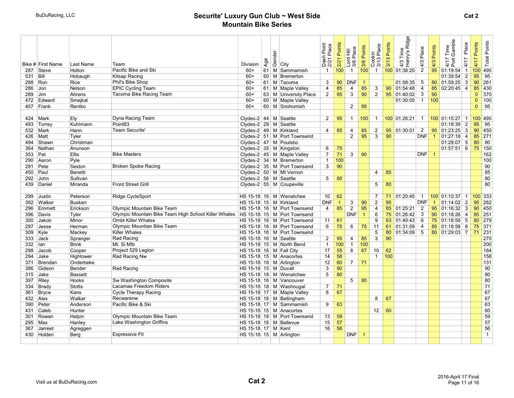|            |                   |                |                                                      |                             |     | $\frac{b}{c}$<br>$City$                | n Point<br>Place<br>Dash<br>2/21 F | 2/21 Points    | Lord Hill<br>3/6 Place | 3/6 Points     | Cookin<br>3/13 Place    | Points<br>3/13 | 4/3 Time<br>  Henry's Ridge<br>4/3 Place | Points         | Time<br>Gamble<br>Place<br>4/17<br>$4/17$<br>Port ( | 4/17 | Points         | Total Points |
|------------|-------------------|----------------|------------------------------------------------------|-----------------------------|-----|----------------------------------------|------------------------------------|----------------|------------------------|----------------|-------------------------|----------------|------------------------------------------|----------------|-----------------------------------------------------|------|----------------|--------------|
|            | Bike # First Name | Last Name      | Team                                                 | <b>Division</b>             | Age |                                        |                                    |                |                        |                |                         |                |                                          | 4/3            |                                                     |      |                |              |
|            | 287 Steve         | Holton         | Pacific Bike and Ski                                 | $60+$                       |     | 61 M Sammamish                         | $\mathbf{1}$                       | 100            | $\mathbf{1}$           | 100            | $\overline{1}$          |                | $\overline{2}$<br>100 01:38:20           | 95             | 01:19:54<br>$\mathbf{1}$                            |      | 100 495        |              |
| 531   Bill |                   | Hobaugh        | Kitsap Racing                                        | $60+$                       |     | 60 M Bremerton                         |                                    |                |                        |                |                         |                |                                          |                | 01:39:54<br>2                                       |      | 95             | 95           |
| 288 Ron    |                   | Rice           | Phil's Bike Shop                                     | $60+$                       |     | 61 M Tacoma                            | 3                                  |                | <b>90 DNF</b>          | - 1            |                         |                | 01:58:35<br>-5                           |                | $80$ 01:59:25 3                                     |      | 90<br>261      |              |
| $286$ Jon  |                   | Nelson         | <b>EPIC Cycling Team</b>                             | $60+$                       |     | 61 M Maple Valley                      | $\overline{4}$                     | 85             | $\overline{4}$         | 85             | $\mathbf{3}$            |                | 90 01:54:48<br>4                         |                | 85 02:20:45 4                                       |      | 85             | 430          |
| 289 Jim    |                   | Ahrens         | Tacoma Bike Racing Team                              | $60+$                       |     | 63   M   University Place              | $2^{\circ}$                        | 95             | $\mathbf{3}$           | 90             | $\overline{2}$          |                | 95 01:40:02<br>$\mathbf{3}$              | 90             |                                                     |      | $\Omega$       | 370          |
|            | 472 Edward        | Smejkal        |                                                      | $60+$                       |     | 60   M   Maple Valley                  |                                    |                |                        |                |                         |                | 01:30:05<br>$1 \overline{100}$           |                |                                                     |      | $\overline{0}$ | 100          |
|            | 407 Frank         | Rentko         |                                                      | $60+$                       |     | 60 M Snohomish                         |                                    |                | $2 \mid$               | 95             |                         |                |                                          |                |                                                     |      | $\overline{0}$ | 95           |
|            |                   |                |                                                      |                             |     |                                        |                                    |                |                        |                |                         |                |                                          |                |                                                     |      |                |              |
|            | 424 Mark          | Ely            | Dyna Racing Team                                     | Clydes-2 $ 44 $ M Seattle   |     |                                        | $\overline{2}$                     | 95             | $\mathbf{1}$           | 100            | $\overline{1}$          |                | 100 01:26:21<br>$\mathbf{1}$             |                | 100 01:15:27 1 100 495                              |      |                |              |
|            | 493 Torrey        | Kuhlmann       | Point83                                              | Clydes-2   29   M   Seattle |     |                                        |                                    |                |                        |                |                         |                |                                          |                | $01:18:39$ 2                                        |      | 95             | 95           |
| 532 Mark   |                   | Hann           | Team Securite'                                       | Clydes-2 49 M Kirkland      |     |                                        | $\overline{4}$                     | 85             | $\overline{4}$         | 85             | $\overline{2}$          |                | $95$ 01:30:01<br>$\overline{2}$          |                | $95$ 01:23:25 3                                     |      | 90             | 450          |
| 426 Matt   |                   | Tyler          |                                                      |                             |     | Clydes-2 51 M Port Townsend            |                                    |                | $\overline{2}$         | 95             | $\overline{\mathbf{3}}$ | 90             | DNF                                      | $\overline{1}$ | $ 01:27:18$ 4                                       |      | 85 271         |              |
|            | 494 Shawn         | Christman      |                                                      | Clydes-2 47 M Poulsbo       |     |                                        |                                    |                |                        |                |                         |                |                                          |                | $01:28:07$ 5                                        |      | 80 80          |              |
|            | 364 Nathan        | Anunson        |                                                      | Clydes-2 35 M Kingston      |     |                                        | 6                                  | 75             |                        |                |                         |                |                                          |                | $01:57:51$ 6 75 150                                 |      |                |              |
| 353 Pat    |                   | Ellis          | <b>Bike Masters</b>                                  |                             |     | Clydes-2 45 M Maple Valley             | $\overline{7}$                     | 71             | $\overline{3}$         | 90             |                         |                | $DNF$ 1                                  |                |                                                     |      |                | 162          |
|            | 290 Aaron         | Pyle           |                                                      |                             |     | Clydes-2 $34$ M Bremerton              | $\mathbf{1}$                       | 100            |                        |                |                         |                |                                          |                |                                                     |      |                | 100          |
| 291 Pete   |                   | Sexton         | <b>Broken Spoke Racing</b>                           |                             |     | Clydes-2 35 M Port Townsend            | 3                                  | 90             |                        |                |                         |                |                                          |                |                                                     |      |                | 90           |
| 450 Paul   |                   | Benetti        |                                                      |                             |     | Clydes-2 50 M Mt Vernon                |                                    |                |                        |                | $\overline{4}$          | 85             |                                          |                |                                                     |      |                | 85           |
| 292 John   |                   | Sullivan       |                                                      | Clydes-2 56 M Seattle       |     |                                        | $5^{\circ}$                        | 80             |                        |                |                         |                |                                          |                |                                                     |      |                | 80           |
|            | 439 Daniel        | Miranda        | <b>Front Street Grill</b>                            |                             |     | Clydes-2 55 M Coupeville               |                                    |                |                        |                | 5                       | 80             |                                          |                |                                                     |      |                | 80           |
|            |                   |                |                                                      |                             |     |                                        |                                    |                |                        |                |                         |                |                                          |                |                                                     |      |                |              |
|            | 299 Justin        | Peterson       | Ridge CycleSport                                     |                             |     | HS 15-18 16 M Wenatchee                | 10                                 | 62             |                        |                | $\overline{7}$          |                | 71 01:20:45<br>$\overline{1}$            |                | $100$ 01:10:37 1 100 333                            |      |                |              |
|            | 392 Walker        | <b>Busken</b>  |                                                      | HS 15-18 15 M Kirkland      |     |                                        | <b>DNF</b>                         | $\overline{1}$ | 3                      | 90             | 2                       | 95             | DNF                                      |                | $1$ 01:14:02 2                                      |      | 95 282         |              |
|            | 296 Emmett        | Erickson       | Olympic Mountain Bike Team                           |                             |     | HS 15-18 16 M Port Townsend            | $\overline{4}$                     | 85             | $\overline{2}$         | 95             | 4                       |                | 85 01:25:21<br>$\overline{2}$            |                | 95 01:16:32<br>$\mathbf{3}$                         |      | 90             | 450          |
|            | 396 Davis         | Tyler          | Olympic Mountain Bike Team High School Killer Whales |                             |     | HS 15-18 15 M Port Townsend            |                                    |                | <b>DNF</b>             | $\overline{1}$ | 6                       |                | 75 01:26:42<br>3                         |                | $90$ 01:18:26<br>$\vert 4 \vert$                    |      | 85 251         |              |
|            | 300 Jakob         | Minor          | <b>Ombt Killer Whales</b>                            |                             |     | HS 15-18 16 M Port Townsend            | 11                                 | 61             |                        |                | 9                       | 63             | 01:40:43 <br>- 6                         |                | $75$ 01:18:58 5                                     |      | 80 279         |              |
|            | 297 Jesse         | Herman         | Olympic Mountian Bike Team                           |                             |     | HS 15-18 16 M Port Townsend            | 6                                  | 75             | 6                      | 75             | 11                      |                | 61 01:31:59<br>$\overline{4}$            |                | 85 01:18:58 6 75 371                                |      |                |              |
| 309 Kyle   |                   | Mackey         | <b>Killer Whales</b>                                 |                             |     | HS 15-18 16 M Port Townsend            |                                    |                |                        |                | 5                       | 80             | $01:34:09$ 5                             |                | 80 01:29:03 7 71                                    |      |                | 231          |
| 333 Jack   |                   | Spranger       | Rad Racing                                           | HS 15-18 16 M Seattle       |     |                                        | $\mathbf{2}$                       | 95             | $\overline{4}$         | 85             | 3                       | 90             |                                          |                |                                                     |      |                | 270          |
| 332 lan    |                   | <b>Brink</b>   | Mt. Si Mtb                                           |                             |     | HS 15-18 $15$ M North Bend             | $\mathbf{1}$                       | 100            | $\mathbf{1}$           | 100            |                         |                |                                          |                |                                                     |      |                | 200          |
|            | 298 Jacob         | Cooper         | Project 529 Legion                                   | HS 15-18 16 M Fall City     |     |                                        | 17                                 | 55             | $\overline{8}$         | 67             | 10 <sup>1</sup>         | 62             |                                          |                |                                                     |      |                | 184          |
| 294 Jake   |                   | Hightower      | Rad Racing Nw                                        |                             |     | HS $15-18$ 15 M Anacortes              | 14                                 | 58             |                        |                | $\mathbf{1}$            | 100            |                                          |                |                                                     |      |                | 158          |
|            | 371 Brendan       | Onderbeke      |                                                      | HS 15-18 18 M Arlington     |     |                                        | 12                                 | 60             | $7 \mid 71$            |                |                         |                |                                          |                |                                                     |      |                | 131          |
|            | 386 Gideon        | Bender         | Rad Racing                                           | HS 15-18 15 M Duvall        |     |                                        | 3                                  | 90             |                        |                |                         |                |                                          |                |                                                     |      |                | 90           |
| 315 Jake   |                   | <b>Bassett</b> |                                                      |                             |     | HS $15-18$ 18 M Wenatchee              | 5 <sup>5</sup>                     | 80             |                        |                |                         |                |                                          |                |                                                     |      |                | 80           |
| 397 Riley  |                   | Hooks          | Sw Washington Composite                              |                             |     | HS 15-18 16 M Vancouver                |                                    |                | 5 <sup>5</sup>         | 80             |                         |                |                                          |                |                                                     |      |                | 80           |
|            | 334 Brady         | <b>Stotts</b>  | Lacamas Freedom Riders                               |                             |     | HS 15-18 18 $M$ Washougal              | $\overline{7}$                     | 71             |                        |                |                         |                |                                          |                |                                                     |      |                | 71           |
|            | 361 Bryce         | Kans           | <b>Cycle Therapy Racing</b>                          |                             |     | HS 15-18 $17 \mid M \mid$ Maple Valley | 8                                  | 67             |                        |                |                         |                |                                          |                |                                                     |      |                | 67           |
| 432 Alex   |                   | Walker         | Recwarenw                                            |                             |     | HS 15-18 $16 \mid M$ Bellingham        |                                    |                |                        |                | 8                       | 67             |                                          |                |                                                     |      |                | 67           |
|            | 390 Peter         | Anderson       | Pacific Bike & Ski                                   |                             |     | HS 15-18 17 M Sammamish                | 9                                  | 63             |                        |                |                         |                |                                          |                |                                                     |      |                | 63           |
|            | 431 Caleb         | Hunter         |                                                      |                             |     | HS $15-18$ 15 M Anacortes              |                                    |                |                        |                | $12 \quad 60$           |                |                                          |                |                                                     |      |                | 60           |
|            | 301 Rowan         | Halpin         | Olympic Mountain Bike Team                           |                             |     | HS 15-18 18 M Port Townsend            | 13                                 | 59             |                        |                |                         |                |                                          |                |                                                     |      |                | 59           |
| 295 Max    |                   | Hanley         | Lake Washington Griffins                             | HS 15-18 16 M Bellevue      |     |                                        | 15                                 | 57             |                        |                |                         |                |                                          |                |                                                     |      |                | 57           |
| 367        | Jarreet           | Agreggen       |                                                      | HS 15-18 17 M Kent          |     |                                        | 16                                 | 56             |                        |                |                         |                |                                          |                |                                                     |      |                | 56           |
|            | 430 Holden        | Berg           | <b>Expressive Fit</b>                                | HS 15-18 15 $M$ Arlington   |     |                                        |                                    |                | $DNF$ 1                |                |                         |                |                                          |                |                                                     |      |                | $\mathbf{1}$ |
|            |                   |                |                                                      |                             |     |                                        |                                    |                |                        |                |                         |                |                                          |                |                                                     |      |                |              |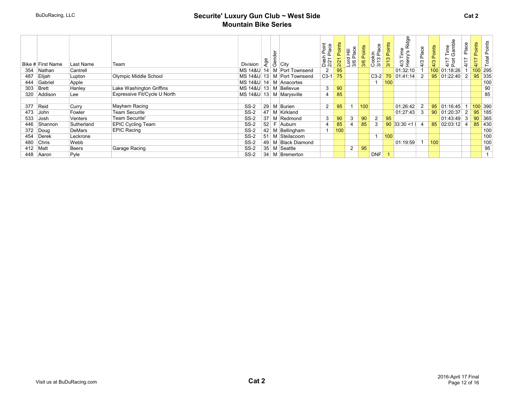|                   |            |                              |             | $\frac{6}{3}$ $\frac{6}{9}$ City | Point<br>Place | Points<br>2/21  | Ē<br>āg<br>$\frac{1}{3}$<br>$\frac{1}{6}$ P | oint | تَة ڪِ<br>ত্র<br>Cook<br>3/13 | 13  | ge<br>ع<br>آ  | 4/3 Place      | Points | Time<br>Gamt<br>4/17<br>Port | Place<br>1/17  | Points<br>$\overline{1}$ | oints<br>$\overline{\sigma}$ |
|-------------------|------------|------------------------------|-------------|----------------------------------|----------------|-----------------|---------------------------------------------|------|-------------------------------|-----|---------------|----------------|--------|------------------------------|----------------|--------------------------|------------------------------|
| Bike # First Name | Last Name  | Team                         | Division    |                                  |                |                 |                                             | 3/6  |                               |     | 유 동           |                | 4/3    |                              |                | $\tilde{+}$              |                              |
| 354 Nathan        | Cantrell   |                              |             | MS 14&U 14 M Port Townsend       | $\overline{2}$ | 95              |                                             |      |                               |     | 01:32:10      |                |        | 100 01:18:26                 |                | 100 295                  |                              |
| 487 Elijah        | Lupton     | Olympic Middle School        |             | MS 14&U 13 M Port Townsend       | $C3-1$         | 75              |                                             |      | $C3-2$                        | 70  | 01:41:14      | $\overline{2}$ |        | $95$ 01:22:40 2              |                | 95 335                   |                              |
| 444 Gabriel       | Apple      |                              |             | MS 14&U 14 M Anacortes           |                |                 |                                             |      |                               | 100 |               |                |        |                              |                |                          | 100                          |
| 303 Brett         | Hanley     | Lake Washington Griffins     |             | MS 14&U 13 M Bellevue            | 3              | 90 <sup>°</sup> |                                             |      |                               |     |               |                |        |                              |                |                          | 90                           |
| 320 Addison       | Lee        | Expressive Fit/Cycle U North |             | MS 14&U 13 M Marysville          | 4              | 85              |                                             |      |                               |     |               |                |        |                              |                |                          | 85                           |
|                   |            |                              |             |                                  |                |                 |                                             |      |                               |     |               |                |        |                              |                |                          |                              |
| 377 Reid          | Curry      | Mayhem Racing                | $SS-2$      | 29 M Burien                      | $\overline{2}$ | 95              |                                             | 100  |                               |     | 01:26:42      | 2              |        | 95 01:16:45                  |                | 100 390                  |                              |
| 473 John          | Fowler     | <b>Team Securite</b>         | $SS-2$      | 47   M   Kirkland                |                |                 |                                             |      |                               |     | 01:27:43      | 3              |        | 90 01:20:37                  | $\overline{2}$ | 95 185                   |                              |
| 533 Josh          | Venters    | Team Securite'               | $SS-2$      | 37 M Redmond                     | 3              | 90              | 3                                           | 90   | $\overline{2}$                | 95  |               |                |        | $01:43:49$ 3                 |                | 90 365                   |                              |
| 446 Shannon       | Sutherland | <b>EPIC Cycling Team</b>     | $SS-2$      | 52 F Auburn                      | 4              | 85              |                                             | 85   | 3                             |     | $90$ 33:30 <1 | -4             |        | 85 02:03:12                  | -4             | 85 430                   |                              |
| 372 Doug          | DeMars     | <b>EPIC Racing</b>           | <b>SS-2</b> | 42 M Bellingham                  |                | 100             |                                             |      |                               |     |               |                |        |                              |                |                          | 100                          |
| 454 Derek         | Leckrone   |                              | $SS-2$      | 51 M Steilacoom                  |                |                 |                                             |      |                               | 100 |               |                |        |                              |                |                          | 100                          |
| 480 Chris         | Webb       |                              | $SS-2$      | 49 M Black Diamond               |                |                 |                                             |      |                               |     | 01:19:59      |                | 100    |                              |                |                          | 100                          |
| 412 Matt          | Beers      | Garage Racing                | $SS-2$      | 35 M Seattle                     |                |                 | $2^{\circ}$                                 | 95   |                               |     |               |                |        |                              |                |                          | 95                           |
| 448 Aaron         | Pyle       |                              | $SS-2$      | 34 M Bremerton                   |                |                 |                                             |      | <b>DNF</b>                    |     |               |                |        |                              |                |                          |                              |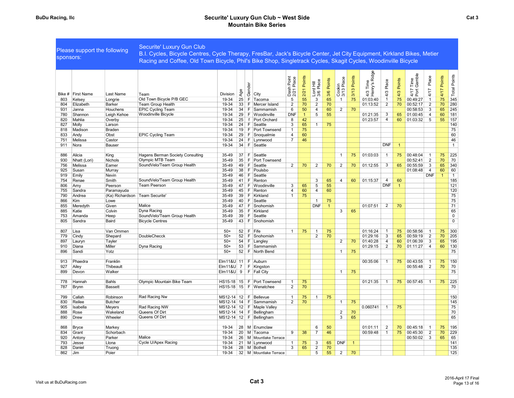|            | Please support the following |                                  | Securite' Luxury Gun Club                                                                                               |                |                       |                              |                 |                |                        |                |                      |                |                                 |                |                  |                     |              |                |
|------------|------------------------------|----------------------------------|-------------------------------------------------------------------------------------------------------------------------|----------------|-----------------------|------------------------------|-----------------|----------------|------------------------|----------------|----------------------|----------------|---------------------------------|----------------|------------------|---------------------|--------------|----------------|
|            |                              |                                  | B.I. Cycles, Bicycle Centres, Cycle Therapy, FresBar, Jack's Bicycle Center, Jet City Equipment, Kirkland Bikes, Metier |                |                       |                              |                 |                |                        |                |                      |                |                                 |                |                  |                     |              |                |
| sponsors:  |                              |                                  | Racing and Coffee, Old Town Bicycle, Phil's Bike Shop, Singletrack Cycles, Skagit Cycles, Woodinville Bicycle           |                |                       |                              |                 |                |                        |                |                      |                |                                 |                |                  |                     |              |                |
|            |                              |                                  |                                                                                                                         |                |                       |                              |                 |                |                        |                |                      |                |                                 |                |                  |                     |              |                |
|            |                              |                                  |                                                                                                                         |                |                       |                              |                 |                |                        |                |                      |                |                                 |                |                  |                     |              |                |
|            |                              |                                  |                                                                                                                         |                |                       |                              |                 |                |                        |                |                      |                | ,Time<br>,'s Ridge <sub>!</sub> |                | Gamble           |                     |              | Points         |
|            |                              |                                  |                                                                                                                         |                |                       |                              | Point<br>Place  | Points         |                        | Points         |                      |                | Place                           | Points         | Time             | Place               | Points       |                |
|            |                              |                                  |                                                                                                                         |                |                       |                              |                 |                |                        |                |                      |                |                                 |                |                  |                     |              |                |
| Bike #     | <b>First Name</b>            | Last Name                        | Team                                                                                                                    | Division       | Age                   | Gender<br>City               | Dash<br>2/21 F  | 2/21           | Lord Hill<br>3/6 Place | 3/6            | Cookin<br>3/13 Place | 3/13 Points    | 4/3 Time<br>Henry's<br>4/3      | 4/3            | $4/17$<br>Port ( | 4/17                | 4/17         | Total          |
| 803        | Kelsey                       | Longrie                          | Old Town Bicycle P/B GEC                                                                                                | 19-34          | 25                    | F.<br>Tacoma                 | $5\phantom{.0}$ | 55             | $\mathbf{3}$           | 65             | $\overline{1}$       | 75             | 01:03:40<br>$\mathbf{1}$        | 75             | 00:49:27         | $\overline{1}$      | 75           | 345            |
| 804        | Elizabeth                    | Barker                           | Team Group Health                                                                                                       | 19-34          | 33                    | F.<br>Mercer Island          | 2               | 70             | 2                      | 70             |                      |                | 2<br>01:13:52                   | 70             | 00:52:17         | $\overline{2}$      | 70           | 280            |
| 931        | Janna                        | Houchens                         | <b>EPIC Cycling Team</b>                                                                                                | 19-34          | 34                    | F.<br>Sammamish              | 6               | 50             | $\overline{4}$         | 60             | $\overline{2}$       | 70             |                                 |                | 00:58:53         | 3                   | 65           | 245            |
| 780        | Shannon                      | Leigh Kehoe                      | <b>Woodinville Bicycle</b>                                                                                              | 19-34          | 29                    | F Woodinville                | <b>DNF</b>      | $\overline{1}$ | $5\overline{)}$        | 55             |                      |                | 01:21:35<br>3                   | 65             | 01:00:45         | $\overline{4}$      | 60           | 181            |
| 820        | Mahlia                       | Overby                           |                                                                                                                         | 19-34          | 25                    | f<br>Port Orchard            | 8               | 42             |                        |                |                      |                | $\overline{4}$<br>01:23:57      | 60             | 01:03:32         | 5                   | 55           | 157            |
| 827        | Molly                        | Larson                           |                                                                                                                         | 19-34          | 24                    | F<br>Seattle                 | $\overline{3}$  | 65             | $\overline{1}$         | 75             |                      |                |                                 |                |                  |                     |              | 140            |
| 818        | Madison                      | <b>Braden</b>                    |                                                                                                                         | 19-34          | 19                    | F.<br>Port Townsend          | $\mathbf{1}$    | 75             |                        |                |                      |                |                                 |                |                  |                     |              | 75             |
| 833        | Andy                         | Obst                             | EPIC Cycling Team                                                                                                       | 19-34          | 29                    | F Snoqualmie                 | $\overline{4}$  | 60             |                        |                |                      |                |                                 |                |                  |                     |              | 60             |
| 751        | Melissa                      | Castor                           |                                                                                                                         | 19-34          | 24                    | F.<br>Lynnwood               | $\overline{7}$  | 46             |                        |                |                      |                |                                 |                |                  |                     |              | 46             |
| 911        | Nora                         | <b>Bauser</b>                    |                                                                                                                         | 19-34          |                       | 34 F Seattle                 |                 |                |                        |                |                      |                | <b>DNF</b>                      |                |                  |                     |              | $\mathbf{1}$   |
|            |                              |                                  |                                                                                                                         |                |                       |                              |                 |                |                        |                |                      |                |                                 |                |                  |                     |              |                |
| 886        | Alicia                       | King                             | Hagens Berman Society Consulting                                                                                        | 35-49          | 37                    | F Seattle                    |                 |                |                        |                | $\overline{1}$       | 75             | 01:03:03<br>$\mathbf{1}$        | 75             | 00:48:04         | $\mathbf{1}$        | 75           | 225            |
| 930        | Nhatt (Lori)                 | Nichols                          | Olympic MTB Team                                                                                                        | 35-49          | 35                    | F<br>Port Townsend           |                 |                |                        |                |                      |                |                                 |                | 00:52:41         | $\overline{2}$      | 70           | 70             |
| 756        | Melissa                      | Eamer                            | SoundVelo/Team Group Health                                                                                             | 35-49          | 49                    | F.<br>Seattle<br>F.          | 2               | 70             | $\overline{2}$         | 70             | $\overline{2}$       | 70             | 01:12:55<br>3                   | 65             | 00:55:59         | 3<br>$\overline{4}$ | 65<br>60     | 340<br>60      |
| 925<br>919 | Susan<br>Emily               | Murray<br>Nevin                  |                                                                                                                         | 35-49<br>35-49 | 38 <sup>1</sup><br>46 | Poulsbo<br>F<br>Seattle      |                 |                |                        |                |                      |                |                                 |                | 01:08:48         | <b>DNF</b>          | $\mathbf{1}$ | $\overline{1}$ |
| 754        | Renae                        | Smith                            | SoundVelo/Team Group Health                                                                                             | 35-49          | 41                    | F.<br>Renton                 |                 |                | 3                      | 65             | $\overline{4}$       | 60             | 01:15:37<br>4                   | 60             |                  |                     |              | 185            |
| 806        | Amy                          | Peerson                          | <b>Team Peerson</b>                                                                                                     | 35-49          | 47                    | F Woodinville                | 3               | 65             | $5\phantom{.0}$        | 55             |                      |                | <b>DNF</b>                      | $\overline{1}$ |                  |                     |              | 121            |
| 755        | Sandra                       | Paramayuda                       |                                                                                                                         | 35-49          | 45                    | F.<br>Renton                 | 4               | 60             | 4                      | 60             |                      |                |                                 |                |                  |                     |              | 120            |
| 790        | Andrea                       | (Ka) Richardson   Team Securite' |                                                                                                                         | 35-49          | 39 <sup>°</sup>       | F.<br>Kirkland               | $\mathbf{1}$    | 75             |                        |                |                      |                |                                 |                |                  |                     |              | 75             |
| 866        | Kim                          | Lowe                             |                                                                                                                         | 35-49          | 40                    | F.<br>Seattle                |                 |                | $\overline{1}$         | 75             |                      |                |                                 |                |                  |                     |              | 75             |
| 855        | Meredyth                     | Given                            | Malice                                                                                                                  | 35-49          | 47                    | F.<br>Snohomish              |                 |                | <b>DNF</b>             | $\overline{1}$ |                      |                | $\overline{2}$<br>01:07:51      | 70             |                  |                     |              | 71             |
| 885        | Katie                        | Colvin                           | Dyna Racing                                                                                                             | 35-49          | 35                    | F<br>Kirkland                |                 |                |                        |                | 3                    | 65             |                                 |                |                  |                     |              | 65             |
| 753        | Amanda                       | Heep                             | SoundVelo/Team Group Health                                                                                             | 35-49          | 39 <sup>°</sup>       | F Seattle                    |                 |                |                        |                |                      |                |                                 |                |                  |                     |              | $\mathbf 0$    |
| 805        | Sandra                       | Baird                            | <b>Bicycle Centres</b>                                                                                                  | 35-49          |                       | 43 F Snohomish               |                 |                |                        |                |                      |                |                                 |                |                  |                     |              | $\overline{0}$ |
|            |                              |                                  |                                                                                                                         |                |                       |                              |                 |                |                        |                |                      |                |                                 |                |                  |                     |              |                |
| 807        | Lisa                         | Van Ommen                        |                                                                                                                         | $50+$          | 52                    | F Fife                       | $\mathbf{1}$    | 75             | $\overline{1}$         | 75             |                      |                | 01:16:24<br>$\mathbf{1}$        | 75             | 00:58:56         | $\overline{1}$      | 75           | 300            |
| 779        | Cindy                        | Shepard                          | <b>DoubleChecck</b>                                                                                                     | $50+$          | 52                    | F Snohomish                  |                 |                | $\overline{2}$         | 70             |                      |                | 3<br>01:29:16                   | 65             | 00:59:19         | $\overline{2}$      | 70           | 205            |
| 897        | Lauryn                       | Tayler                           |                                                                                                                         | $50+$          | 54                    | F   Langley                  |                 |                |                        |                | $\overline{2}$       | 70             | 01:40:28<br>$\overline{4}$      | 60             | 01:06:39         | 3                   | 65           | 195            |
| 910        | Diana                        | Miller                           | Dyna Racing                                                                                                             | $50+$          |                       | 53   F   Sammamish           |                 |                |                        |                |                      |                | $\overline{2}$<br>01:29:15      |                | 70 01:11:27      | $\overline{4}$      | 60           | 130            |
| 896        | Sandi                        | Yotz                             |                                                                                                                         | $50+$          | 52                    | F North Bend                 |                 |                |                        |                | $\mathbf{1}$         | 75             |                                 |                |                  |                     |              | 75             |
|            |                              |                                  |                                                                                                                         |                |                       |                              |                 |                |                        |                |                      |                |                                 |                |                  |                     |              |                |
| 913        | Phaedra                      | Franklin                         |                                                                                                                         |                |                       | $E$ lm11&U 11   F   Auburn   |                 |                |                        |                |                      |                | 00:35:06<br>$\mathbf{1}$        |                | 75 00:43:55      | $\mathbf{1}$        | 75           | 150            |
| 927        | Ailey                        | Thibeault                        |                                                                                                                         | Elm11&U 7      |                       | F Kingston                   |                 |                |                        |                |                      |                |                                 |                | 00:55:48         | 2                   | 70           | 70             |
| 899        | Devon                        | Walker                           |                                                                                                                         |                |                       | $E$ Im11&U 9   F   Fall City |                 |                |                        |                | $\mathbf{1}$         | 75             |                                 |                |                  |                     |              | 75             |
| 778        | Hannah                       | Bahls                            | Olympic Mountain Bike Team                                                                                              |                |                       | HS15-18 15 F Port Townsend   | $\mathbf{1}$    | 75             |                        |                |                      |                | 01:21:35<br>$\mathbf{1}$        |                | 75 00:57:45      | $\overline{1}$      | 75           | 225            |
| 787        | Brynn                        | <b>Bassett</b>                   |                                                                                                                         |                |                       | HS15-18 15 F Wenatchee       | $\overline{2}$  | 70             |                        |                |                      |                |                                 |                |                  |                     |              | 70             |
|            |                              |                                  |                                                                                                                         |                |                       |                              |                 |                |                        |                |                      |                |                                 |                |                  |                     |              |                |
| 799        | Callah                       | Robinson                         | Rad Racing Nw                                                                                                           |                |                       | $MS12-14$ 12 F Bellevue      | $\mathbf{1}$    | 75             | $\mathbf{1}$           | 75             |                      |                |                                 |                |                  |                     |              | 150            |
| 830        | Reilee                       | <b>Butcher</b>                   |                                                                                                                         |                |                       | $MS12-14$ 14 F Sammamish     | $\overline{2}$  | 70             |                        |                | $\mathbf{1}$         | 75             |                                 |                |                  |                     |              | 145            |
| 905        | Isabella                     | Meyers                           | Rad Racing NW                                                                                                           |                |                       | $MS12-14$ 12 F Maple Valley  |                 |                |                        |                |                      |                | 0.060741<br>1                   | 75             |                  |                     |              | 75             |
| 888        | Rose                         | Wakeland                         | Queens Of Dirt                                                                                                          |                |                       | $MS12-14$ 14 F Bellingham    |                 |                |                        |                | $\overline{2}$       | 70             |                                 |                |                  |                     |              | 70             |
| 890        | Drew                         | Wheeler                          | Queens Of Dirt                                                                                                          |                |                       | $MS12-14$ 12 F Bellingham    |                 |                |                        |                | 3                    | 65             |                                 |                |                  |                     |              | 65             |
|            |                              |                                  |                                                                                                                         |                |                       |                              |                 |                |                        |                |                      |                |                                 |                |                  |                     |              |                |
| 868        | <b>Bryce</b>                 | Markey                           |                                                                                                                         | 19-34          |                       | 28 M Enumclaw                |                 |                | 6                      | 50             |                      |                | 2<br>01:01:11                   | 70             | 00:45:18         | $\mathbf{1}$        | 75           | 195            |
| 834        | Grant                        | Schorbach                        |                                                                                                                         | 19-34          |                       | 20 M Tacoma                  | 9               | 38             | $\overline{7}$         | 46             |                      |                | $\mathbf{1}$<br>00:59:48        | 75             | 00:45:30         | $\overline{2}$      | 70           | 229            |
| 920        | Antony                       | Parker                           | Malice                                                                                                                  | 19-34          | 26 <sup>1</sup>       | M Mountlake Terrace          |                 |                |                        |                |                      |                |                                 |                | 00:50:02         | $\mathbf{3}$        | 65           | 65             |
| 793        | Jesse                        | Llona                            | Cycle U/Apex Racing                                                                                                     | 19-34          | 21                    | M Lynnwood                   | $\mathbf{1}$    | 75             | 3                      | 65             | <b>DNF</b>           | $\overline{1}$ |                                 |                |                  |                     |              | 141            |
| 828        | Daniel                       | Truong                           |                                                                                                                         | 19-34          |                       | 28 M Bothell                 | 3               | 65             | $\overline{2}$         | 70             |                      |                |                                 |                |                  |                     |              | 135            |
| 862        | Jim                          | Poier                            |                                                                                                                         | 19-34          |                       | 32   M   Mountlake Terrace   |                 |                | $5\overline{)}$        | 55             | $\overline{2}$       | 70             |                                 |                |                  |                     |              | 125            |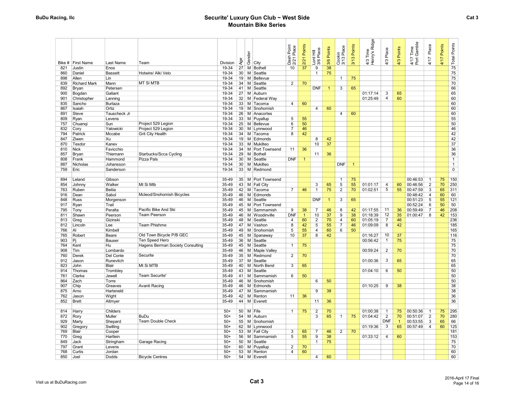|                              |                    |                                  |                |     |                              |                        |                |                             |                |                      |                | Ridge                              |                | Time<br>Gamble       |                                   |          |              |  |
|------------------------------|--------------------|----------------------------------|----------------|-----|------------------------------|------------------------|----------------|-----------------------------|----------------|----------------------|----------------|------------------------------------|----------------|----------------------|-----------------------------------|----------|--------------|--|
|                              |                    |                                  |                |     |                              | Point<br>Place         | Points         | Lord Hill<br>3/6 Place<br>Ē | 3/6 Points     | Cookin<br>3/13 Place | 3/13 Points    |                                    | 4/3 Points     |                      | Place                             | Points   | Total Points |  |
|                              |                    |                                  |                |     | Gender                       |                        |                |                             |                |                      |                | 4/3 Place<br>4/3 Time<br>Henry's R |                |                      |                                   |          |              |  |
| Bike # First Name            | Last Name          | Team                             | Division       | Age | City                         | dsp<br>$\overline{21}$ | 2/21           |                             |                |                      |                |                                    |                | $rac{4}{7}$<br>Port  | 4/17                              | 4/17     |              |  |
| 821<br>Justin                | Enos               |                                  | 19-34          | 27  | M<br>Bothell                 | ہ ت<br>10              | 37             | 9                           | 38             |                      |                |                                    |                |                      |                                   |          | 75           |  |
| 860<br>Daniel                | <b>Bassett</b>     | Hotwire/ Alki Velo               | 19-34          |     | 30 M Seattle                 |                        |                | $\mathbf{1}$                | 75             |                      |                |                                    |                |                      |                                   |          | 75           |  |
| 898<br>Allen                 | Lin                |                                  | 19-34          |     | 19 M Bellevue                |                        |                |                             |                | $\mathbf{1}$         | 75             |                                    |                |                      |                                   |          | 75           |  |
| 839<br><b>Richard Mark</b>   | Mann               | MT Si MTB                        | 19-34          |     | 34 M Seattle                 | $\overline{2}$         | 70             |                             |                |                      |                |                                    |                |                      |                                   |          | 70           |  |
| Bryan<br>892                 | Petersen           |                                  | 19-34          |     | 41 M Seattle                 |                        |                | <b>DNF</b>                  | $\overline{1}$ | 3                    | 65             |                                    |                |                      |                                   |          | 66           |  |
| 900<br>Bogdan                | Galiant            |                                  | 19-34          |     | 27 M Auburn                  |                        |                |                             |                |                      |                | 01:17:14<br>3                      | 65             |                      |                                   |          | 65           |  |
| 901<br>Christopher           | Lanning            |                                  | 19-34          |     | 32 M Federal Way             |                        |                |                             |                |                      |                | $\overline{4}$<br>01:25:49         | 60             |                      |                                   |          | 60           |  |
| 835<br>Sancho                | Burlaza            |                                  | 19-34          |     | 33 M Tacoma                  | $\overline{4}$         | 60             |                             |                |                      |                |                                    |                |                      |                                   |          | 60           |  |
| 867<br>Isaiah                | Ortiz              |                                  | 19-34          |     | 19 M Snohomish               |                        |                | $\overline{4}$              | 60             |                      |                |                                    |                |                      |                                   |          | 60           |  |
| 891<br>Steve                 | Tauscheck Jr       |                                  | 19-34          |     | 26 M Anacortes               |                        |                |                             |                | 4                    | 60             |                                    |                |                      |                                   |          | 60           |  |
| 809<br>Ryan                  | Levens             |                                  | 19-34          |     | 33 M Puyallup                | 5                      | 55             |                             |                |                      |                |                                    |                |                      |                                   |          | 55           |  |
| 757<br>Chuangi               | Sun                | Project 529 Legion               | 19-34          |     | 25 M Bellevue                | 6                      | 50             |                             |                |                      |                |                                    |                |                      |                                   |          | 50           |  |
| 832<br>Cory                  | Yalowicki          | Project 529 Legion               | 19-34          |     | 30 M Lynnwood                | $\overline{7}$         | 46             |                             |                |                      |                |                                    |                |                      |                                   |          | 46           |  |
| 794<br>Patrick               | Mccabe             | <b>Grit City Health</b>          | 19-34          |     | 34 M Tacoma                  | 8                      | 42             |                             |                |                      |                |                                    |                |                      |                                   |          | 42           |  |
| 847<br>Ziwen                 | Xu                 |                                  | 19-34          | 19  | M Edmonds                    |                        |                | 8                           | 42             |                      |                |                                    |                |                      |                                   |          | 42           |  |
| 870<br>Tesdor                | Kanev              |                                  | 19-34          |     | 33 M Mukilteo                |                        |                | 10                          | 37             |                      |                |                                    |                |                      |                                   |          | 37           |  |
| 810<br><b>Nick</b>           | Favicchio          |                                  | 19-34          |     | 34 M Port Townsend           | 11                     | 36             |                             |                |                      |                |                                    |                |                      |                                   |          | 36           |  |
| 857<br>Bryan                 | Thiemann           | Starbucks/Scca Cycling           | 19-34          |     | 29 M Bothell                 |                        |                | 11                          | 36             |                      |                |                                    |                |                      |                                   |          | 36           |  |
| 808<br>Frank                 | Hammond            | Pizza Pals                       | 19-34          |     | 30 M Seattle                 | <b>DNF</b>             | $\overline{1}$ |                             |                |                      |                |                                    |                |                      |                                   |          | $\mathbf{1}$ |  |
| 887<br>Nicholas              | Johansson          |                                  | 19-34          |     | 30 M Mukilteo                |                        |                |                             |                | <b>DNF</b>           | $\overline{1}$ |                                    |                |                      |                                   |          | $\mathbf{1}$ |  |
| 759<br>Eric                  | Sanderson          |                                  | 19-34          |     | 33 M Redmond                 |                        |                |                             |                |                      |                |                                    |                |                      |                                   |          | $\mathbf 0$  |  |
|                              |                    |                                  |                |     |                              |                        |                |                             |                |                      |                |                                    |                |                      |                                   |          |              |  |
| 894<br>Leland                | Gibson             |                                  | 35-49          |     | 35 M Port Townsend           |                        |                |                             |                | $\mathbf{1}$         | 75             |                                    |                | 00:46:53             | $\mathbf{1}$                      | 75       | 150          |  |
| 854<br>Johnny                | Walker             | Mt Si Mtb                        | 35-49          |     | 43 M Fall City               |                        |                | 3                           | 65             | 5                    | 55             | 4<br>01:01:17                      | 60             | 00:46:56             | $\overline{2}$                    | 70       | 250          |  |
| 763<br>Ruben                 | <b>Beitia</b>      |                                  | 35-49          |     | 42 M Tacoma                  | $\overline{7}$         | 46             | $\mathbf{1}$                | 75             | $\overline{2}$       | 70             | 5<br>01:02:51                      | 55             | 00:47:59             | 3                                 | 65       | 311          |  |
| 916<br>Dean<br>848<br>Russ   | Sabol              | Mcleod/Snohomish Bicycles        | 35-49<br>35-49 |     | 46 M Edmonds<br>46 M Seattle |                        |                | <b>DNF</b>                  |                |                      | 65             |                                    |                | 00:48:42             | $\overline{4}$<br>$5\overline{)}$ | 60<br>55 | 60<br>121    |  |
|                              | Morgenson<br>Trail |                                  | 35-49          |     | 45 M Port Townsend           |                        |                |                             | -1             | 3                    |                |                                    |                | 00:51:23<br>00:52:24 | 6                                 | 50       | 50           |  |
| 917<br>Ryan<br>795<br>Tony   | Peralta            | Pacific Bike And Ski             | 35-49          |     | 45   M   Sammamish           | 9                      | 38             | $\overline{7}$              | 46             | 8                    | 42             | 11<br>01:17:55                     | 36             | 00:59:49             | $\overline{7}$                    | 46       | 208          |  |
| 811<br>Shawn                 | Peerson            | <b>Team Peerson</b>              | 35-49          |     | 46 M Woodinville             | <b>DNF</b>             | $\overline{1}$ | 10                          | 37             | 9                    | 38             | 12<br>01:18:39                     | 35             | 01:00:47             | 8                                 | 42       | 153          |  |
| 813<br>Greg                  | Gizinski           |                                  | 35-49          |     | 48 M Seattle                 | 4                      | 60             | $\overline{2}$              | 70             | 4                    | 60             | $\overline{7}$<br>01:05:19         | 46             |                      |                                   |          | 236          |  |
| 812<br>Lincoln               | Lee                | <b>Team Phishme</b>              | 35-49          |     | 47 M Vashon                  | $\overline{8}$         | 42             | 5                           | 55             | $\overline{7}$       | 46             | 8<br>01:09:09                      | 42             |                      |                                   |          | 185          |  |
| 766<br>AI                    | Kimbell            |                                  | 35-49          |     | 49 M Snohomish               | 5                      | 55             | $\overline{4}$              | 60             | 6                    | 50             |                                    |                |                      |                                   |          | 165          |  |
| 765<br>Robert                | Beare              | Old Town Bicycle P/B GEC         | 35-49          |     | 45 M Spanaway                | 10                     | 37             | 8                           | 42             |                      |                | 10<br>01:16:27                     | 37             |                      |                                   |          | 116          |  |
| 903<br>Pi                    | Bauser             | Ten Speed Hero                   | 35-49          |     | 36 M Seattle                 |                        |                |                             |                |                      |                | 00:56:42<br>$\mathbf{1}$           | 75             |                      |                                   |          | 75           |  |
| 764<br>Kent                  | Hu                 | Hagens Berman Society Consulting | 35-49          |     | 45 M Seattle                 | $\mathbf{1}$           | 75             |                             |                |                      |                |                                    |                |                      |                                   |          | 75           |  |
| 908<br>Tim                   | Lombardo           |                                  | 35-49          |     | 46 M Maple Valley            |                        |                |                             |                |                      |                | 00:59:24<br>2                      | 70             |                      |                                   |          | 70           |  |
| 760<br>Derek                 | Del Conte          | Securite                         | 35-49          |     | 35 M Redmond                 | $\overline{2}$         | 70             |                             |                |                      |                |                                    |                |                      |                                   |          | 70           |  |
| 912<br>Jason                 | Runevitch          |                                  | 35-49          |     | 37 M Seattle                 |                        |                |                             |                |                      |                | 01:00:36<br>3                      | 65             |                      |                                   |          | 65           |  |
| 823<br>John                  | Blair              | Mt Si MTB                        | 35-49          |     | 40 M North Bend              | 3                      | 65             |                             |                |                      |                |                                    |                |                      |                                   |          | 65           |  |
| 914<br>Thomas                | Trombley           |                                  | 35-49          |     | 43 M Seattle                 |                        |                |                             |                |                      |                | 01:04:10<br>6                      | 50             |                      |                                   |          | 50           |  |
| 761<br>Clarke                | Jewell             | Team Securite'                   | 35-49          |     | 41 M Sammamish               | 6                      | 50             |                             |                |                      |                |                                    |                |                      |                                   |          | 50           |  |
| 864<br>Zach                  | Torre              |                                  | 35-49          |     | 46   M Snohomish             |                        |                | 6                           | 50             |                      |                |                                    |                |                      |                                   |          | 50           |  |
| 907<br>Chip                  | Greaves            | Avanti Racing                    | 35-49          |     | 46 M Edmonds                 |                        |                |                             |                |                      |                | 01:10:25<br>9                      | 38             |                      |                                   |          | 38           |  |
| 875<br>Arno                  | Harteneld          |                                  | 35-49          |     | 47 M Sammamish               |                        |                | 9                           | 38             |                      |                |                                    |                |                      |                                   |          | 38           |  |
| 762<br>Jason                 | Wight              |                                  | 35-49          |     | 42 M Renton                  | 11                     | 36             |                             |                |                      |                |                                    |                |                      |                                   |          | 36           |  |
| 852<br><b>Brett</b>          | Altmyer            |                                  | 35-49          |     | 44 M Everett                 |                        |                | 11                          | 36             |                      |                |                                    |                |                      |                                   |          | 36           |  |
|                              |                    |                                  |                |     |                              |                        |                |                             |                |                      |                |                                    |                |                      |                                   |          |              |  |
| 814<br>Harry                 | Childers           |                                  | $50+$          |     | 50 M Fife                    | $\mathbf{1}$           | 75             | $\overline{2}$              | 70             |                      |                | 01:00:38<br>$\mathbf{1}$           | 75             | 00:50:36             | $\mathbf{1}$                      | 75       | 295          |  |
| 872<br>Rory                  | Muller             | <b>BuDu</b>                      | $50+$          |     | 54 M Auburn                  |                        |                | 3                           | 65             | $\mathbf{1}$         | 75             | 2<br>01:04:42                      | 70             | 00:51:07             | $\overline{2}$                    | 70       | 280          |  |
| 929<br>Marty                 | Shepard            | Team Double Check                | $50+$          | 55  | M Snohomish                  |                        |                |                             |                |                      |                | <b>DNF</b>                         | $\overline{1}$ | 00:53:55             | $\mathbf{3}$                      | 65       | 66           |  |
| 902<br>Gregory               | Swilling           |                                  | $50+$          |     | 62 M Lynnwood                |                        |                |                             |                |                      |                | 3<br>01:19:36                      | 65             | 00:57:49             | $\overline{4}$                    | 60       | 125          |  |
| 769<br>Blair                 | Cooper             |                                  | $50+$          |     | 53 M Fall City               | 3                      | 65             | $\overline{7}$              | 46             | 2                    | 70             |                                    |                |                      |                                   |          | 181          |  |
| 770<br>Greg                  | Hartlein           |                                  | $50+$          |     | 56   M   Sammamish           | 5                      | 55             | 9                           | 38             |                      |                | $\overline{4}$<br>01:33:12         | 60             |                      |                                   |          | 153          |  |
| 849<br>Jack                  | Stringham          | Garage Racing                    | $50+$          |     | 50 M Seattle                 |                        |                | $\mathbf{1}$                | 75             |                      |                |                                    |                |                      |                                   |          | 75           |  |
| 797<br>Grant                 | Levens             |                                  | $50+$          | 60  | M Puyallup                   | $\overline{2}$<br>4    | 70<br>60       |                             |                |                      |                |                                    |                |                      |                                   |          | 70<br>60     |  |
| 768<br>Curtis<br>850<br>Joel | Jordan<br>Dodds    | <b>Bicycle Centres</b>           | $50+$<br>$50+$ |     | 53 M Renton<br>54 M Everett  |                        |                | $\overline{4}$              | 60             |                      |                |                                    |                |                      |                                   |          | 60           |  |
|                              |                    |                                  |                |     |                              |                        |                |                             |                |                      |                |                                    |                |                      |                                   |          |              |  |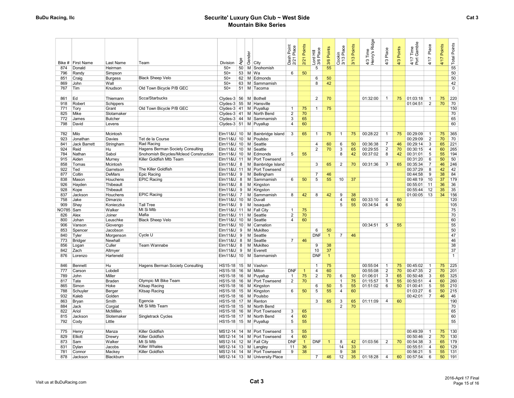|            |                         |                          |                                        |                                                  |             |                                  | Dash Point<br>2/21 Place | Points               |                        |                | Cookin<br>3/13 Place | 3/13 Points | 4/3 Time<br>Henry's Ridge |                |        | Time<br>Gambl    | Place          | Points | childrenia<br>Solida<br>Points |  |
|------------|-------------------------|--------------------------|----------------------------------------|--------------------------------------------------|-------------|----------------------------------|--------------------------|----------------------|------------------------|----------------|----------------------|-------------|---------------------------|----------------|--------|------------------|----------------|--------|--------------------------------|--|
|            |                         |                          |                                        |                                                  | Gender      |                                  |                          |                      | Lord Hill<br>3/6 Place | 3/6 Points     |                      |             |                           | Place          | Points |                  |                |        |                                |  |
|            | Bike #   First Name     | Last Name                | Team                                   | Division                                         | Age         | City                             |                          | 2/21                 |                        |                |                      |             |                           | 4/3            | 4/3    | $\frac{4/17}{P}$ | 4/17           | 4/17   |                                |  |
| 874        | Donald                  | Heirman                  |                                        | $50+$                                            |             | 50   M   Snohomish               |                          |                      | 5                      | 55             |                      |             |                           |                |        |                  |                |        |                                |  |
| 796        | Randy                   | Simpson                  |                                        | $50+$                                            | 53   M   Wa |                                  | 6                        | 50                   |                        |                |                      |             |                           |                |        |                  |                |        | 50                             |  |
| 851        | Craig                   | <b>Burgess</b>           | <b>Black Sheep Velo</b>                | $50+$                                            |             | 62 M Edmonds                     |                          |                      | 6                      | 50             |                      |             |                           |                |        |                  |                |        | 50                             |  |
| 869        | John                    | Wall                     |                                        | $50+$                                            | 63          | M Sammamish                      |                          |                      | 8                      | 42             |                      |             |                           |                |        |                  |                |        | 42                             |  |
| 767        | Tim                     | Knudson                  | Old Town Bicycle P/B GEC               | $50+$                                            |             | 51 M Tacoma                      |                          |                      |                        |                |                      |             |                           |                |        |                  |                |        | $\mathbf 0$                    |  |
|            |                         |                          |                                        |                                                  |             |                                  |                          |                      |                        |                |                      |             |                           |                |        |                  |                |        |                                |  |
| 861        | Ed                      | Thiemann                 | Scca/Starbucks                         | Clydes-3 56 M Bothell                            |             |                                  |                          |                      | $\overline{2}$         | 70             |                      |             | 01:32:00                  | $\mathbf{1}$   | 75     | 01:03:18         | -1             | 75     | 220                            |  |
| 918        | Robert                  | Schippers                |                                        |                                                  |             | Clydes-3 55 M Hansville          |                          |                      |                        |                |                      |             |                           |                |        | 01:04:51         | $\overline{2}$ | 70     | 70                             |  |
| 771        | Tory                    | Grant                    | Old Town Bicycle P/B GEC               | Clydes-3 41 M Puyallup                           |             |                                  | $\mathbf{1}$             | 75                   | $\mathbf{1}$           | 75             |                      |             |                           |                |        |                  |                |        | 150                            |  |
| 825        | Mike                    | Slotamaker               |                                        |                                                  |             | Clydes-3 41 M North Bend         | $\overline{2}$           | 70                   |                        |                |                      |             |                           |                |        |                  |                |        | 70                             |  |
| 772<br>798 | James<br>David          | <b>Butcher</b><br>Levens |                                        |                                                  |             | Clydes-3 44 M Sammamish          | 3<br>$\overline{4}$      | 65<br>60             |                        |                |                      |             |                           |                |        |                  |                |        | 65<br>60                       |  |
|            |                         |                          |                                        | Clydes-3 51 M Puyallup                           |             |                                  |                          |                      |                        |                |                      |             |                           |                |        |                  |                |        |                                |  |
| 782        | Milo                    | Mcintosh                 |                                        |                                                  |             | Elm11&U 10 M Bainbridge Island   | 3                        | 65                   | $\overline{1}$         | 75             | $\mathbf{1}$         | 75          | 00:28:22                  | $\mathbf{1}$   | 75     | 00:29:09         |                | 75     | 365                            |  |
| 923        | Jonathan                | Davies                   | Tet de la Course                       | Elm11&U 10 M Poulsbo                             |             |                                  |                          |                      |                        |                |                      |             |                           |                |        | 00:29:09         | $\overline{2}$ | 70     | 70                             |  |
| 841        | <b>Jack Barrett</b>     | Stringham                | Rad Racing                             | Elm11&U 10 M Seattle                             |             |                                  |                          |                      | $\overline{4}$         | 60             | 6                    | 50          | 00:36:38                  | 7              | 46     | 00:29:14         | 3              | 65     | 221                            |  |
| 924        | Reid                    | Hu                       | Hagens Berman Society Consulting       | Elm11&U 10 M Seattle                             |             |                                  |                          |                      | $\overline{2}$         | 70             | 3                    | 65          | 00:29:55                  | $\overline{2}$ | 70     | 00:30:15         | $\overline{4}$ | 60     | 265                            |  |
| 784        | Nathan                  | Sabol                    | Snohomish Bicycles/Mcleod Construction |                                                  |             | Elm11&U 10 M Edmonds             | 5                        | 55                   |                        |                | 8                    | 42          | 00:37:02                  | 8              | 42     | 00:31:01         | 5              | 55     | 194                            |  |
| 915        | Aiden                   | Murney                   | Killer Goldfish Mtb Team               |                                                  |             | Elm11&U 11 M Port Townsend       |                          |                      |                        |                |                      |             |                           |                |        | 00:31:20         | 6              | 50     | 50                             |  |
| 858        | Tomas                   | Mcintosh                 |                                        | $E$ lm11&U 8                                     |             | M Bainbridge Island              |                          |                      | 3                      | 65             | $\overline{2}$       | 70          | 00:31:36                  | 3              | 65     | 00:35:34         | $\overline{7}$ | 46     | 246                            |  |
| 922        | Ted                     | Garretson                | The Killer Goldfish                    |                                                  |             | Elm11&U 11 M Port Townsend       |                          |                      |                        |                |                      |             |                           |                |        | 00:37:29         | 8              | 42     | 42                             |  |
| 877        | Coltin                  | <b>DeMars</b>            | Epic Racing                            |                                                  |             | Elm11&U 9   M Bellingham         |                          |                      | $\overline{7}$         | 46             |                      |             |                           |                |        | 00:44:58         | 9              | 38     | 84                             |  |
| 838        | Mason                   | Houchens                 | <b>EPIC Racing</b>                     |                                                  |             | $E$ Im11&U 8   M Sammamish       | 6                        | 50                   | $\sqrt{5}$             | 55             | 10                   | 37          |                           |                |        | 00:48:19         | 10             | 37     | 179                            |  |
| 926        | Hayden                  | Thibeault                |                                        | Elm11&U 8   M Kingston                           |             |                                  |                          |                      |                        |                |                      |             |                           |                |        | 00:55:01         | 11             | 36     | 36                             |  |
| 928        | Kope                    | Thibeault                |                                        | Elm11&U 9                                        |             | M Kingston                       |                          |                      |                        |                |                      |             |                           |                |        | 00:55:44         | 12             | 35     | 35                             |  |
| 837        | Jackson                 | Houchens                 | <b>EPIC Racing</b>                     | $E$ lm 11&U 7                                    |             | M Sammamish                      | 8                        | 42                   | 8                      | 42             | 9                    | 38          |                           |                |        | 01:00:05         | 13             | 34     | 156                            |  |
| 758        | Jake                    | Dimarzio                 |                                        | $E$ lm11&U 10 M Duvall                           |             |                                  |                          |                      |                        |                | 4                    | 60          | 00:33:10                  | 4              | 60     |                  |                |        | 120                            |  |
| 909        | Shay                    | Konieczka                | Tall Tree                              | Elm11&U 9 M Issaquah                             |             |                                  |                          |                      |                        |                | 5                    | 55          | 00:34:54                  | 6              | 50     |                  |                |        | 105                            |  |
| NO785 Sam  |                         | Walker                   | Mt Si Mtb                              | $E$ lm11&U 11 M Fall City                        |             |                                  | $\mathbf{1}$             | 75                   |                        |                |                      |             |                           |                |        |                  |                |        | 75                             |  |
| 826        | Alex                    | Joiner                   | Mafia                                  | Elm11&U 11 M Seattle                             |             |                                  | 2                        | 70                   |                        |                |                      |             |                           |                |        |                  |                |        | 70                             |  |
| 800        | Johan                   | Leuschke                 | <b>Black Sheep Velo</b>                | Elm11&U 10 M Seattle                             |             |                                  | $\overline{4}$           | 60                   |                        |                |                      |             |                           |                |        |                  |                |        | 60                             |  |
| 906        | Vanson                  | Giovengo                 |                                        |                                                  |             | Elm11&U 10 M Carnation           |                          |                      | 6                      | 50             |                      |             | 00:34:51                  | 5              | 55     |                  |                |        | 55<br>50                       |  |
| 853        | Spencer                 | Jacobson                 |                                        | Elm11&U 9 M Mukilteo                             |             |                                  |                          |                      |                        |                |                      |             |                           |                |        |                  |                |        |                                |  |
| 840<br>773 | Tyler                   | Morgenson<br>Newhall     | Cycle U                                | $EIM118U$ 9 M Seattle<br>$EIM118U$ 8   M Seattle |             |                                  | $\overline{7}$           | 46                   | <b>DNF</b>             | $\overline{1}$ | $\overline{7}$       | 46          |                           |                |        |                  |                |        | 47<br>46                       |  |
| 856        | <b>Bridger</b><br>Logan | Culler                   | Team Wannabe                           | Elm11&U 8   M   Mukilteo                         |             |                                  |                          |                      | 9                      | 38             |                      |             |                           |                |        |                  |                |        | 38                             |  |
| 842        | Zach                    | Altmyer                  |                                        | $E$ Im11&U 9   M Everett                         |             |                                  |                          |                      | 10                     | 37             |                      |             |                           |                |        |                  |                |        | 37                             |  |
| 876        | Lorenzo                 | Harteneld                |                                        |                                                  |             | Elm11&U 10 M Sammamish           |                          |                      | <b>DNF</b>             | $\overline{1}$ |                      |             |                           |                |        |                  |                |        | $\mathbf{1}$                   |  |
|            |                         |                          |                                        |                                                  |             |                                  |                          |                      |                        |                |                      |             |                           |                |        |                  |                |        |                                |  |
| 846        | <b>Bennett</b>          | Hu                       | Hagens Berman Society Consulting       | HS15-18   15   M   Vashon                        |             |                                  |                          |                      | $\overline{1}$         | 75             |                      |             | 00:55:04                  | -1             | 75     | 00:45:02         | -1             | 75     | 225                            |  |
| 777        | Carson                  | Lobdell                  |                                        | HS15-18 16 M Milton                              |             |                                  | <b>DNF</b>               |                      | $\overline{4}$         | 60             |                      |             | 00:55:08                  | 2              | 70     | 00:47:35         | $\overline{2}$ | 70     | 201                            |  |
| 789        | John                    | Miller                   |                                        | HS15-18 16 M Puyallup                            |             |                                  | $\mathbf{1}$             | 75                   | $\overline{2}$         | 70             | 6                    | 50          | 01:06:01                  | 3              | 65     | 00:50:48         | 3              | 65     | 325                            |  |
| 817        | Tate                    | <b>Braden</b>            | Olympic Mt Bike Team                   |                                                  |             | HS15-18   16   M   Port Townsend | $\overline{2}$           | 70                   |                        |                | $\mathbf{1}$         | 75          | 01:15:57                  | 5              | 55     | 00:50:51         | 4              | 60     | 260                            |  |
| 865        | Simon                   | Hoke                     | Kitsap Racing                          | HS15-18 16 M Kingston                            |             |                                  |                          |                      | 6                      | 50             | 5                    | 55          | 01:51:02                  | 6              | 50     | 01:00:41         | 5              | 55     | 210                            |  |
| 788        | Schuyler                | Berger                   | Kitsap Racing                          | $HS15-18$ 15 M Kingston                          |             |                                  | 6                        | 50                   | $5\phantom{.0}$        | 55             | 4                    | 60          |                           |                |        | 01:03:27         | 6              | 50     | 215                            |  |
| 932        | Kaleb                   | Golden                   |                                        | HS15-18 16 M Poulsbo                             |             |                                  |                          |                      |                        |                |                      |             |                           |                |        | 00:42:01         | $\overline{7}$ | 46     | 46                             |  |
| 863        | Bryan                   | Smith                    | Egencia                                | HS15-18 17 M Renton                              |             |                                  |                          |                      | $\overline{3}$         | 65             | 3                    | 65          | 01:11:09                  | 4              | 60     |                  |                |        | 190                            |  |
| 884        | Jack                    | Corgiat                  | Mt Si Mtb Team                         |                                                  |             | HS15-18 15 M North Bend          |                          |                      |                        |                | $\overline{2}$       | 70          |                           |                |        |                  |                |        | 70                             |  |
| 822        | Ariol                   | McMillen                 |                                        |                                                  |             | HS15-18 16 M Port Townsend       | 3                        | 65                   |                        |                |                      |             |                           |                |        |                  |                |        | 65                             |  |
| 815        | Jackson                 | Slotemaker               | Singletrack Cycles                     |                                                  |             | $HS15-18$ 17 M North Bend        | 4                        | 60                   |                        |                |                      |             |                           |                |        |                  |                |        | 60                             |  |
| 792        | Cody                    | Little                   |                                        | HS15-18 15 M Puyallup                            |             |                                  | 5                        | 55                   |                        |                |                      |             |                           |                |        |                  |                |        | 55                             |  |
| 775        | Henry                   | Manza                    | Killer Goldfish                        |                                                  |             | MS12-14 14 M Port Townsend       | 5                        | 55                   |                        |                |                      |             |                           |                |        | 00:49:39         |                | 75     | 130                            |  |
| 829        | Elliott                 | Drewry                   | Killer Goldfish                        |                                                  |             | MS12-14   14   M   Port Townsend | $\overline{4}$           | 60                   |                        |                |                      |             |                           |                |        | 00:50:46         | $\overline{2}$ | 70     | 130                            |  |
| 873        | Sam                     | Walker                   | Mt Si Mtb                              | MS12-14 12 M Fall City                           |             |                                  | <b>DNF</b>               | $\blacktriangleleft$ | <b>DNF</b>             | -1             | 8                    | 42          | 01:03:56                  | 2              | 70     | 00:54:38         | 3              | 65     | 179                            |  |
| 831        | Dylan                   | Jacobs                   | <b>Killer Whales</b>                   | MS12-14 13 M Langley                             |             |                                  | 11                       | 36                   |                        |                | 14                   | 33          |                           |                |        | 00:55:51         | $\overline{4}$ | 60     | 129                            |  |
| 781        | Connor                  | Mackey                   | Killer Goldfish                        |                                                  |             | MS12-14 14 M Port Townsend       | 9                        | 38                   |                        |                | 9                    | 38          |                           |                |        | 00:56:21         | 5              | 55     | 131                            |  |
| 878        | Jackson                 | Blackburn                |                                        |                                                  |             | MS12-14 13 M University Place    |                          |                      | $\overline{7}$         | 46             | 12                   | 35          | 01:18:28                  | $\overline{4}$ | 60     | 00:57:54         | 6              | 50     | 191                            |  |
|            |                         |                          |                                        |                                                  |             |                                  |                          |                      |                        |                |                      |             |                           |                |        |                  |                |        |                                |  |